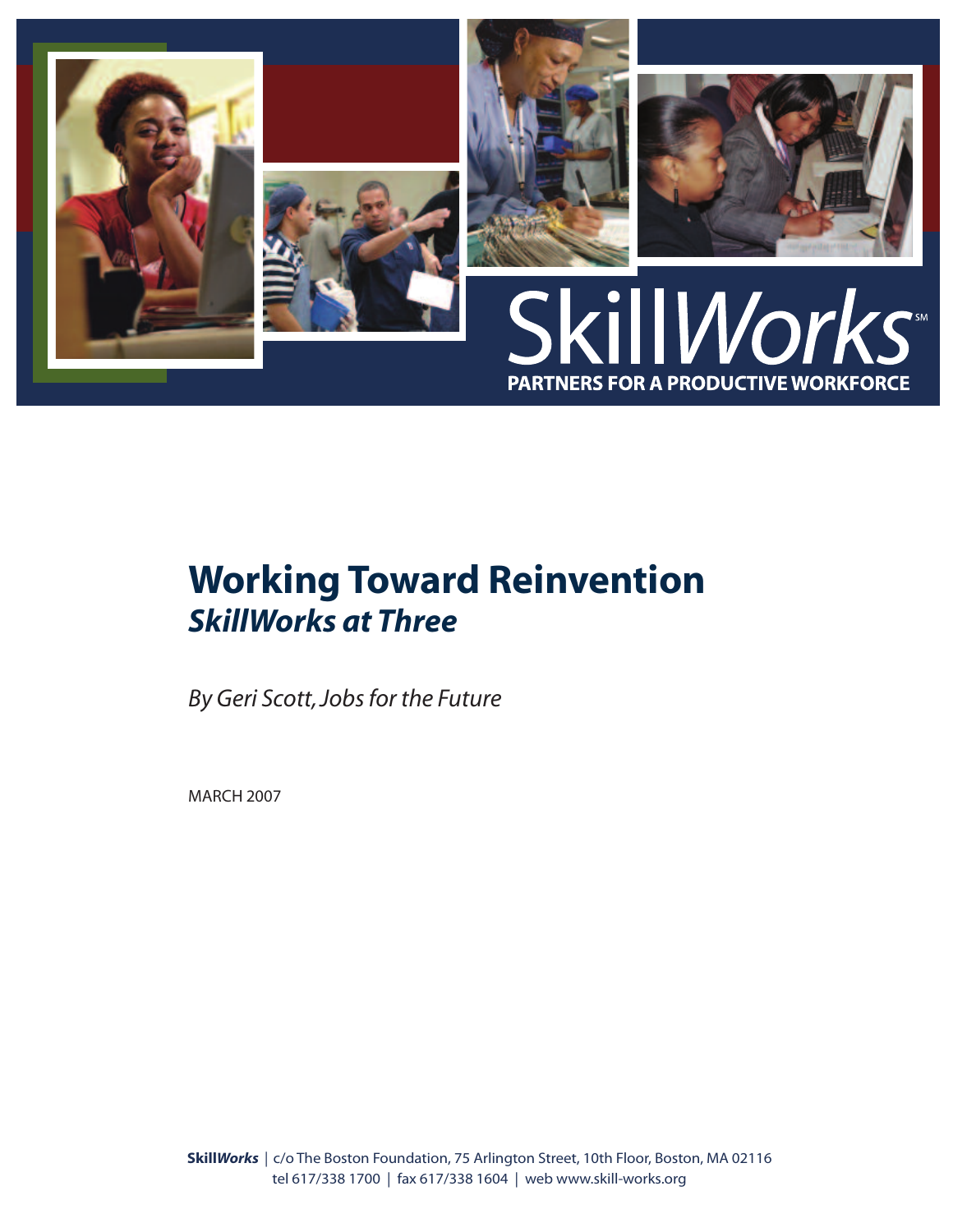

# **Working Toward Reinvention** *SkillWorks at Three*

*By Geri Scott,Jobsfor the Future*

MARCH 2007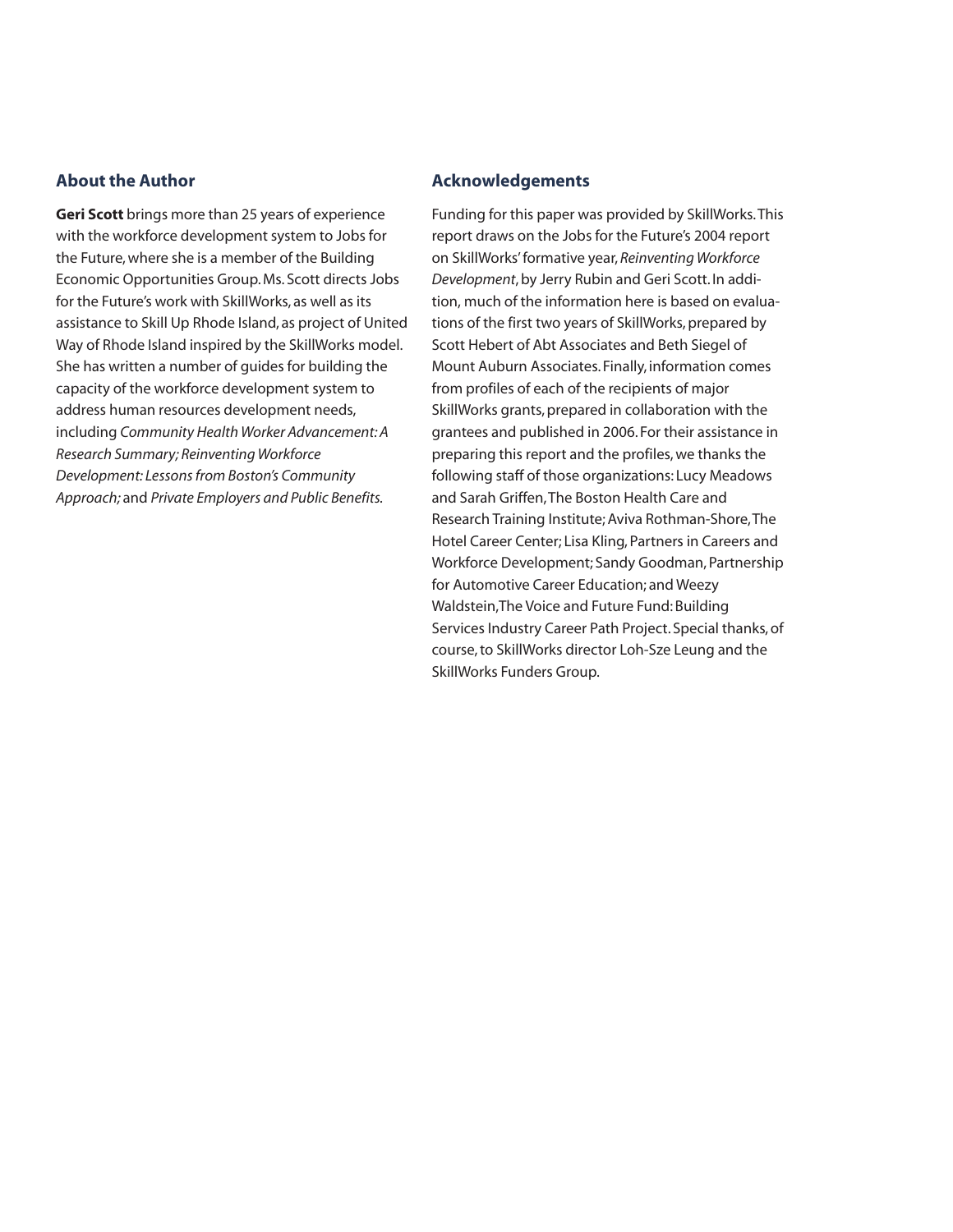### **About the Author**

**Geri Scott** brings more than 25 years of experience with the workforce development system to Jobs for the Future,where she is a member of the Building Economic Opportunities Group.Ms. Scott directs Jobs for the Future's work with SkillWorks, as well as its assistance to Skill Up Rhode Island, as project of United Way of Rhode Island inspired by the SkillWorks model. She has written a number of guides for building the capacity of the workforce development system to address human resources development needs, including *Community Health Worker Advancement:A Research Summary; Reinventing Workforce Development: Lessonsfrom Boston's Community Approach;* and *Private Employers and Public Benefits.*

### **Acknowledgements**

Funding for this paper was provided by SkillWorks.This report draws on the Jobs for the Future's 2004 report on SkillWorks'formative year, *Reinventing Workforce Development*,by Jerry Rubin and Geri Scott. In addition, much of the information here is based on evaluations of the first two years of SkillWorks, prepared by Scott Hebert of Abt Associates and Beth Siegel of Mount Auburn Associates. Finally, information comes from profiles of each of the recipients of major SkillWorks grants, prepared in collaboration with the grantees and published in 2006. For their assistance in preparing this report and the profiles, we thanks the following staff of those organizations: Lucy Meadows and Sarah Griffen,The Boston Health Care and Research Training Institute;Aviva Rothman-Shore,The Hotel Career Center; Lisa Kling, Partners in Careers and Workforce Development; Sandy Goodman, Partnership for Automotive Career Education; and Weezy Waldstein, The Voice and Future Fund: Building Services Industry Career Path Project. Special thanks,of course,to SkillWorks director Loh-Sze Leung and the SkillWorks Funders Group.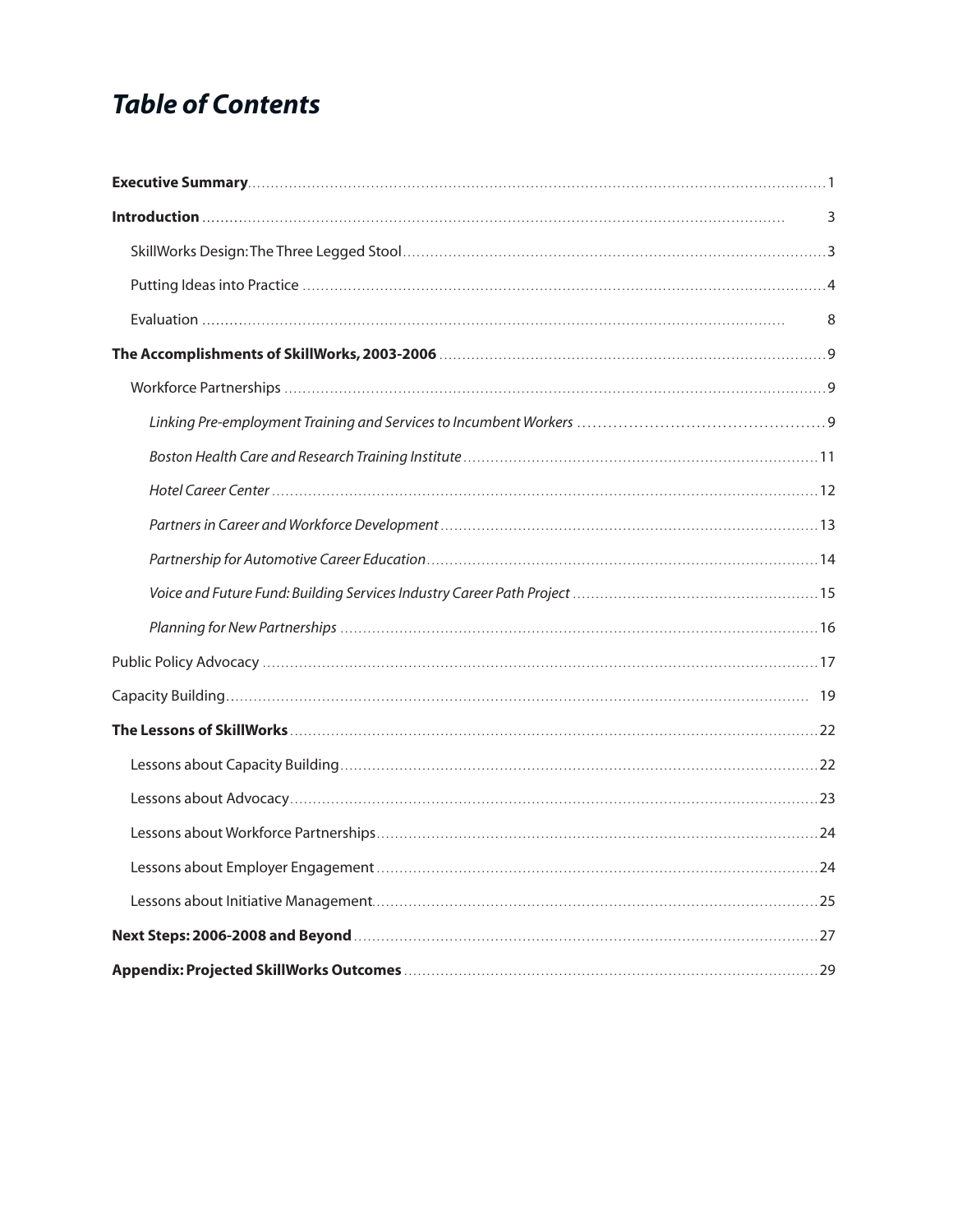# **Table of Contents**

| 3 |
|---|
|   |
|   |
| 8 |
|   |
|   |
|   |
|   |
|   |
|   |
|   |
|   |
|   |
|   |
|   |
|   |
|   |
|   |
|   |
|   |
|   |
|   |
|   |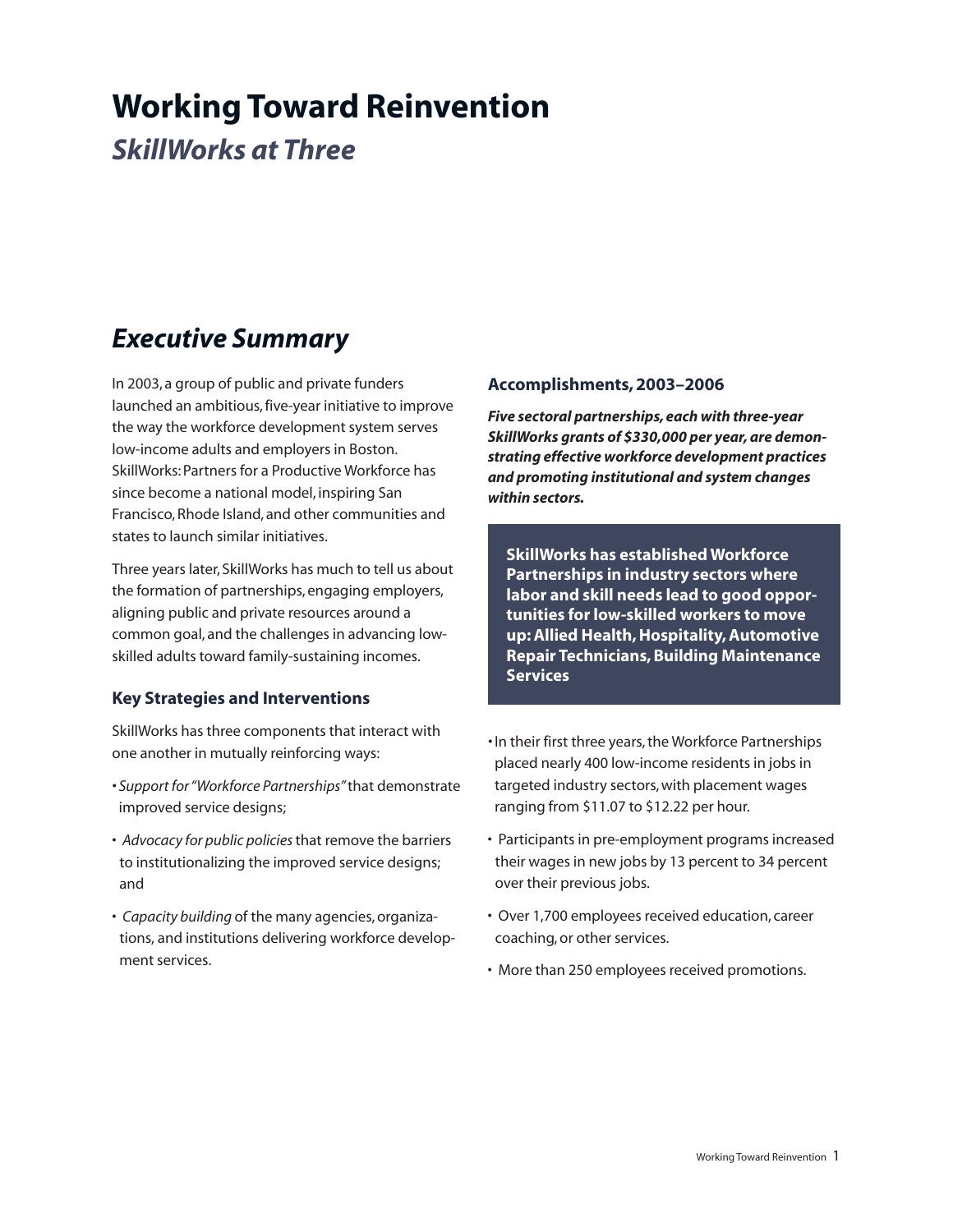# **Working Toward Reinvention**

*SkillWorks at Three*

# *Executive Summary*

In 2003, a group of public and private funders launched an ambitious, five-year initiative to improve the way the workforce development system serves low-income adults and employers in Boston. SkillWorks: Partners for a Productive Workforce has since become a national model, inspiring San Francisco,Rhode Island, and other communities and states to launch similar initiatives.

Three years later, SkillWorks has much to tell us about the formation of partnerships, engaging employers, aligning public and private resources around a common goal, and the challenges in advancing lowskilled adults toward family-sustaining incomes.

### **Key Strategies and Interventions**

SkillWorks has three components that interact with one another in mutually reinforcing ways:

- *• Support for"Workforce Partnerships"*that demonstrate improved service designs;
- *Advocacy for public policies*that remove the barriers to institutionalizing the improved service designs; and
- *Capacity building* of the many agencies,organizations, and institutions delivering workforce development services.

### **Accomplishments,2003–2006**

*Five sectoral partnerships, each with three-year* SkillWorks grants of \$330,000 per year, are demon*strating effective workforce development practices and promoting institutional and system changes within sectors.*

**SkillWorks has established Workforce Partnerships in industry sectors where labor and skill needs lead to good opportunities for low-skilled workers to move up:Allied Health,Hospitality,Automotive Repair Technicians,Building Maintenance Services**

- In their first three years, the Workforce Partnerships placed nearly 400 low-income residents in jobs in targeted industry sectors,with placement wages ranging from \$11.07 to \$12.22 per hour.
- Participants in pre-employment programs increased their wages in new jobs by 13 percent to 34 percent over their previous jobs.
- Over 1,700 employees received education, career coaching,or other services.
- More than 250 employees received promotions.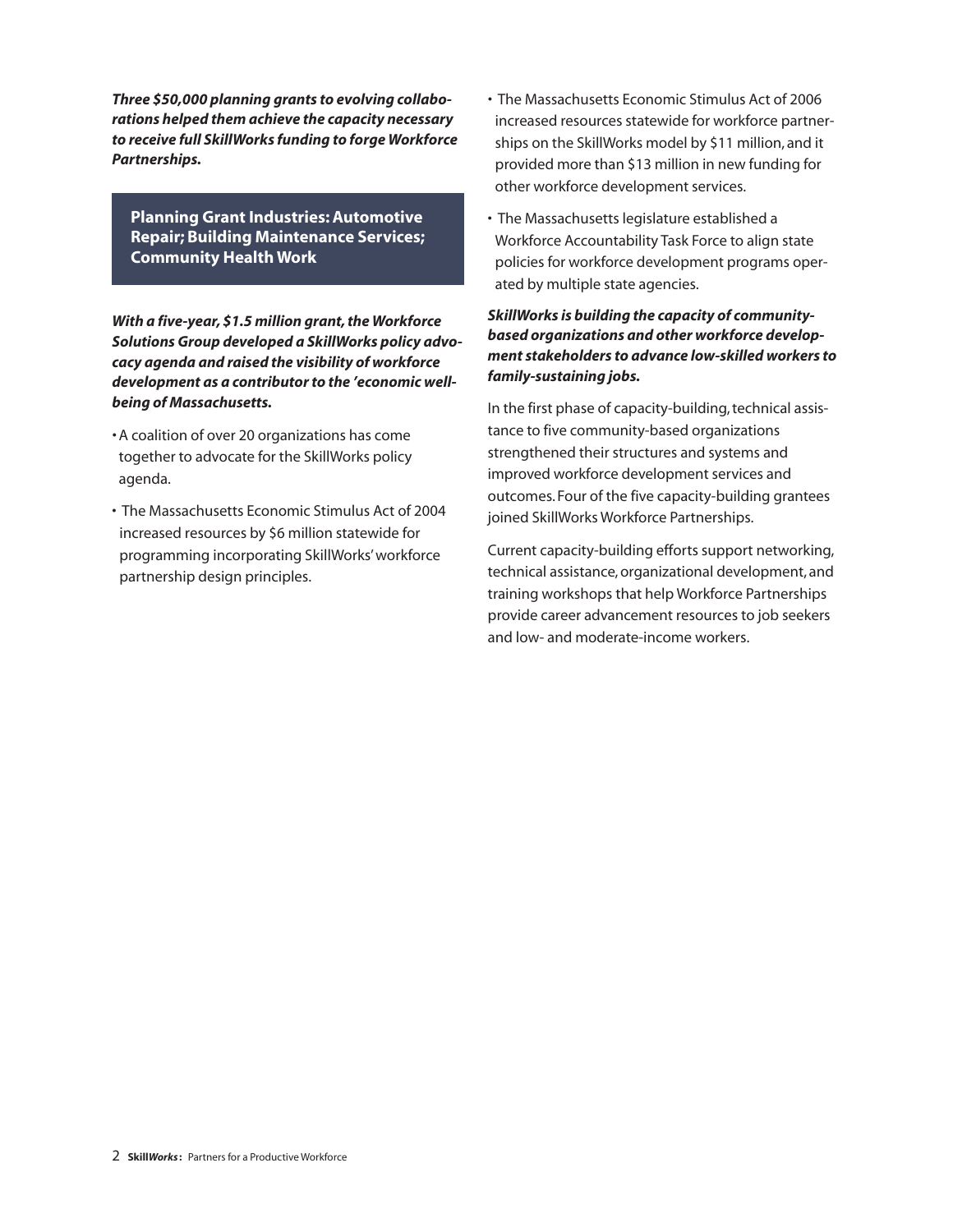*Three \$50,000 planning grants to evolving collaborations helped them achieve the capacity necessary to receive full SkillWorks funding to forge Workforce Partnerships.*

**Planning Grant Industries:Automotive Repair; Building Maintenance Services; Community Health Work**

*With a five-year,* \$1.5 *million grant, the Workforce Solutions Group developed a SkillWorks policy advocacy agenda and raised the visibility of workforce* development as a contributor to the 'economic well*being of Massachusetts.*

- *•* A coalition of over 20 organizations has come together to advocate for the SkillWorks policy agenda.
- The Massachusetts Economic Stimulus Act of 2004 increased resources by \$6 million statewide for programming incorporating SkillWorks'workforce partnership design principles.
- The Massachusetts Economic Stimulus Act of 2006 increased resources statewide for workforce partnerships on the SkillWorks model by \$11 million, and it provided more than \$13 million in new funding for other workforce development services.
- The Massachusetts legislature established a Workforce Accountability Task Force to align state policies for workforce development programs operated by multiple state agencies.

### *SkillWorks is building the capacity of communitybased organizations and other workforce development stakeholders to advance low-skilled workers to family-sustaining jobs.*

In the first phase of capacity-building, technical assistance to five community-based organizations strengthened their structures and systems and improved workforce development services and outcomes. Four of the five capacity-building grantees joined SkillWorks Workforce Partnerships.

Current capacity-building efforts support networking, technical assistance, organizational development, and training workshops that help Workforce Partnerships provide career advancement resources to job seekers and low- and moderate-income workers.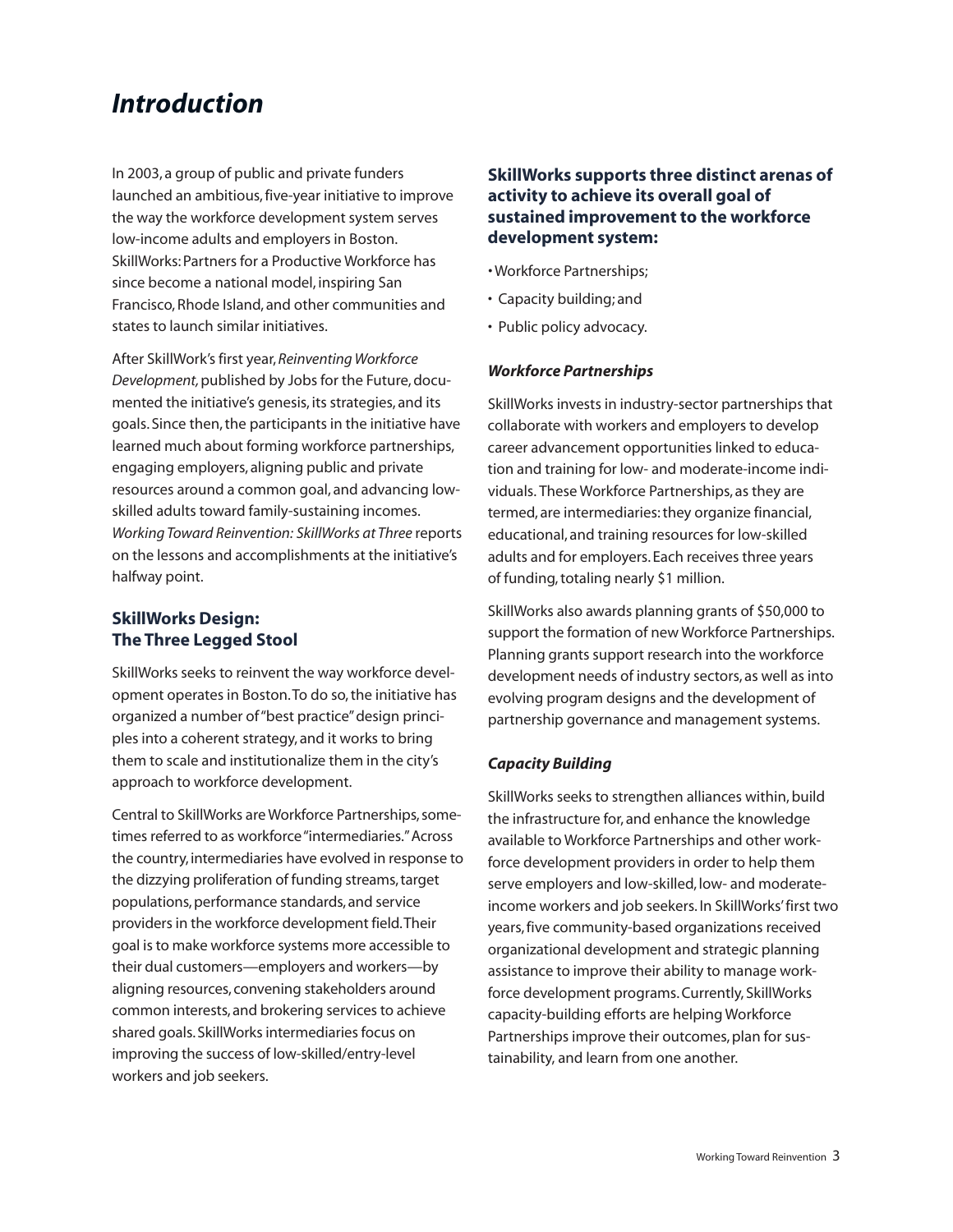# *Introduction*

In 2003, a group of public and private funders launched an ambitious, five-year initiative to improve the way the workforce development system serves low-income adults and employers in Boston. SkillWorks: Partners for a Productive Workforce has since become a national model, inspiring San Francisco,Rhode Island, and other communities and states to launch similar initiatives.

After SkillWork's first year, *Reinventing Workforce* **Development, published by Jobs for the Future, docu**mented the initiative's genesis, its strategies, and its goals. Since then, the participants in the initiative have learned much about forming workforce partnerships, engaging employers, aligning public and private resources around a common goal, and advancing lowskilled adults toward family-sustaining incomes. *Working Toward Reinvention: SkillWorks at Three* reports on the lessons and accomplishments at the initiative's halfway point.

### **SkillWorks Design: The Three Legged Stool**

SkillWorks seeks to reinvent the way workforce development operates in Boston.To do so,the initiative has organized a number of"best practice"design principles into a coherent strategy, and it works to bring them to scale and institutionalize them in the city's approach to workforce development.

Central to SkillWorks are Workforce Partnerships, sometimes referred to as workforce "intermediaries." Across the country, intermediaries have evolved in response to the dizzying proliferation of funding streams, target populations,performance standards, and service providers in the workforce development field. Their goal isto make workforce systems more accessible to their dual customers—employers and workers—by aligning resources, convening stakeholders around common interests, and brokering services to achieve shared goals. SkillWorks intermediaries focus on improving the success of low-skilled/entry-level workers and job seekers.

### **SkillWorks supports three distinct arenas of activity to achieve its overall goal of sustained improvement to the workforce development system:**

- *•* Workforce Partnerships;
- Capacity building; and
- Public policy advocacy.

### *Workforce Partnerships*

SkillWorks invests in industry-sector partnerships that collaborate with workers and employers to develop career advancement opportunities linked to education and training for low- and moderate-income individuals. These Workforce Partnerships, as they are termed, are intermediaries:they organize financial, educational, and training resources for low-skilled adults and for employers. Each receives three years of funding,totaling nearly \$1 million.

SkillWorks also awards planning grants of \$50,000 to support the formation of new Workforce Partnerships. Planning grants support research into the workforce development needs of industry sectors, as well as into evolving program designs and the development of partnership governance and management systems.

### *Capacity Building*

SkillWorks seeks to strengthen alliances within, build the infrastructure for, and enhance the knowledge available to Workforce Partnerships and other workforce development providers in order to help them serve employers and low-skilled, low- and moderateincome workers and job seekers. In SkillWorks'first two years,five community-based organizations received organizational development and strategic planning assistance to improve their ability to manage workforce development programs.Currently, SkillWorks capacity-building efforts are helping Workforce Partnerships improve their outcomes, plan for sustainability, and learn from one another.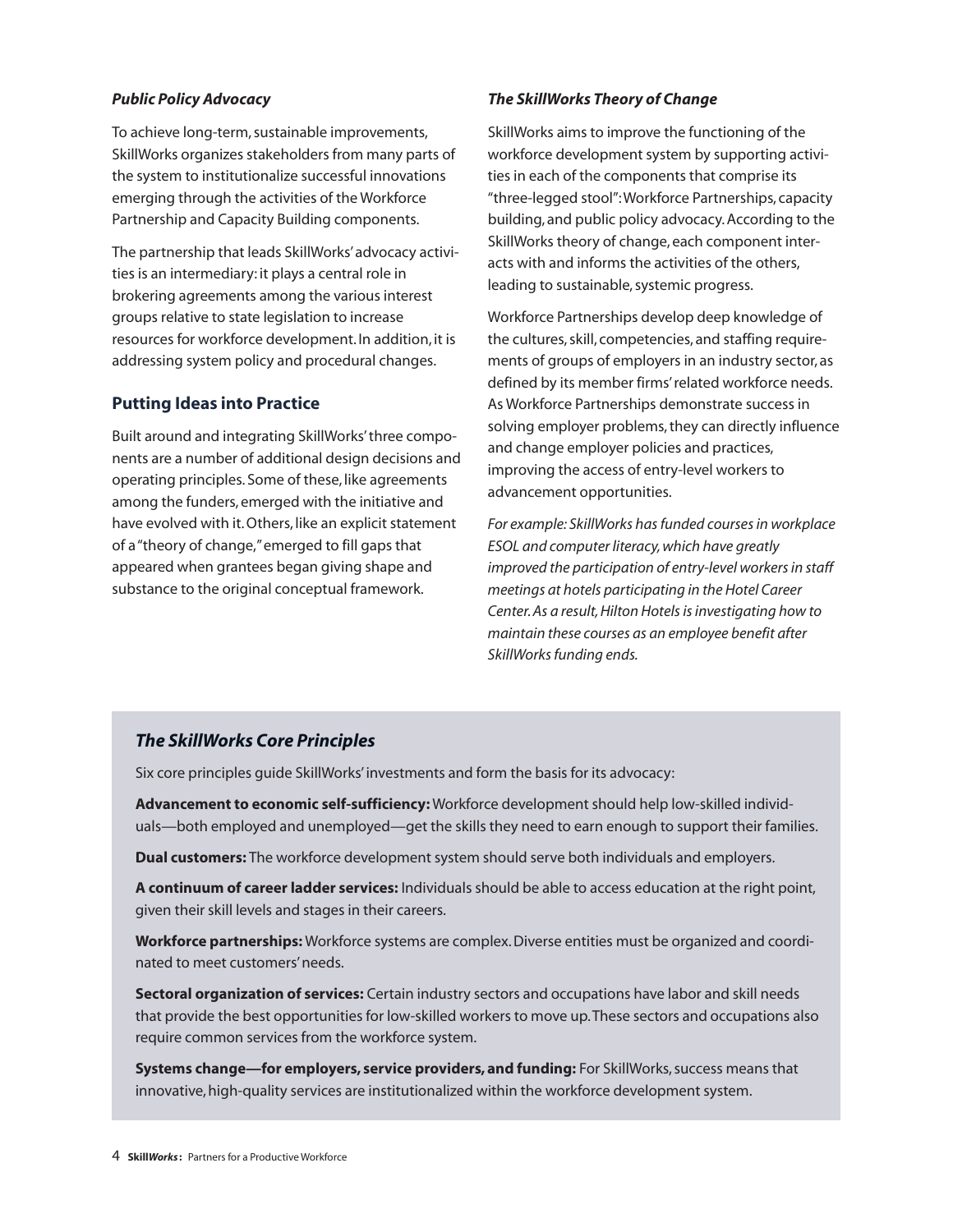### *Public Policy Advocacy*

To achieve long-term, sustainable improvements, SkillWorks organizes stakeholders from many parts of the system to institutionalize successful innovations emerging through the activities of the Workforce Partnership and Capacity Building components.

The partnership that leads SkillWorks'advocacy activities is an intermediary: it plays a central role in brokering agreements among the various interest groups relative to state legislation to increase resources for workforce development. In addition, it is addressing system policy and procedural changes.

### **Putting Ideas into Practice**

Built around and integrating SkillWorks'three components are a number of additional design decisions and operating principles. Some of these, like agreements among the funders, emerged with the initiative and have evolved with it.Others, like an explicit statement of a"theory of change,"emerged to fill gaps that appeared when grantees began giving shape and substance to the original conceptual framework.

### *The SkillWorks Theory of Change*

SkillWorks aims to improve the functioning of the workforce development system by supporting activities in each of the components that comprise its "three-legged stool":Workforce Partnerships, capacity building, and public policy advocacy.According to the SkillWorks theory of change, each component interacts with and informs the activities of the others, leading to sustainable, systemic progress.

Workforce Partnerships develop deep knowledge of the cultures, skill, competencies, and staffing requirements of groups of employers in an industry sector, as defined by its member firms'related workforce needs. As Workforce Partnerships demonstrate success in solving employer problems, they can directly influence and change employer policies and practices, improving the access of entry-level workers to advancement opportunities.

*For example: SkillWorks hasfunded coursesin workplace ESOL and computer literacy,which have greatly improved the participation of entry-level workersin staff meetings at hotels participating in the Hotel Career Center.As a result,Hilton Hotelsisinvestigating how to maintain these courses as an employee benefit after SkillWorksfunding ends.*

### *The SkillWorks Core Principles*

Six core principles guide SkillWorks'investments and form the basis for its advocacy:

**Advancement to economic self-sufficiency:** Workforce development should help low-skilled individuals—both employed and unemployed—get the skills they need to earn enough to support their families.

**Dual customers:** The workforce development system should serve both individuals and employers.

**A continuum of career ladder services:** Individuals should be able to access education at the right point, given their skill levels and stages in their careers.

**Workforce partnerships:** Workforce systems are complex.Diverse entities must be organized and coordinated to meet customers'needs.

**Sectoral organization of services:** Certain industry sectors and occupations have labor and skill needs that provide the best opportunities for low-skilled workers to move up.These sectors and occupations also require common services from the workforce system.

**Systems change—for employers, service providers, and funding:** For SkillWorks,success means that innovative,high-quality services are institutionalized within the workforce development system.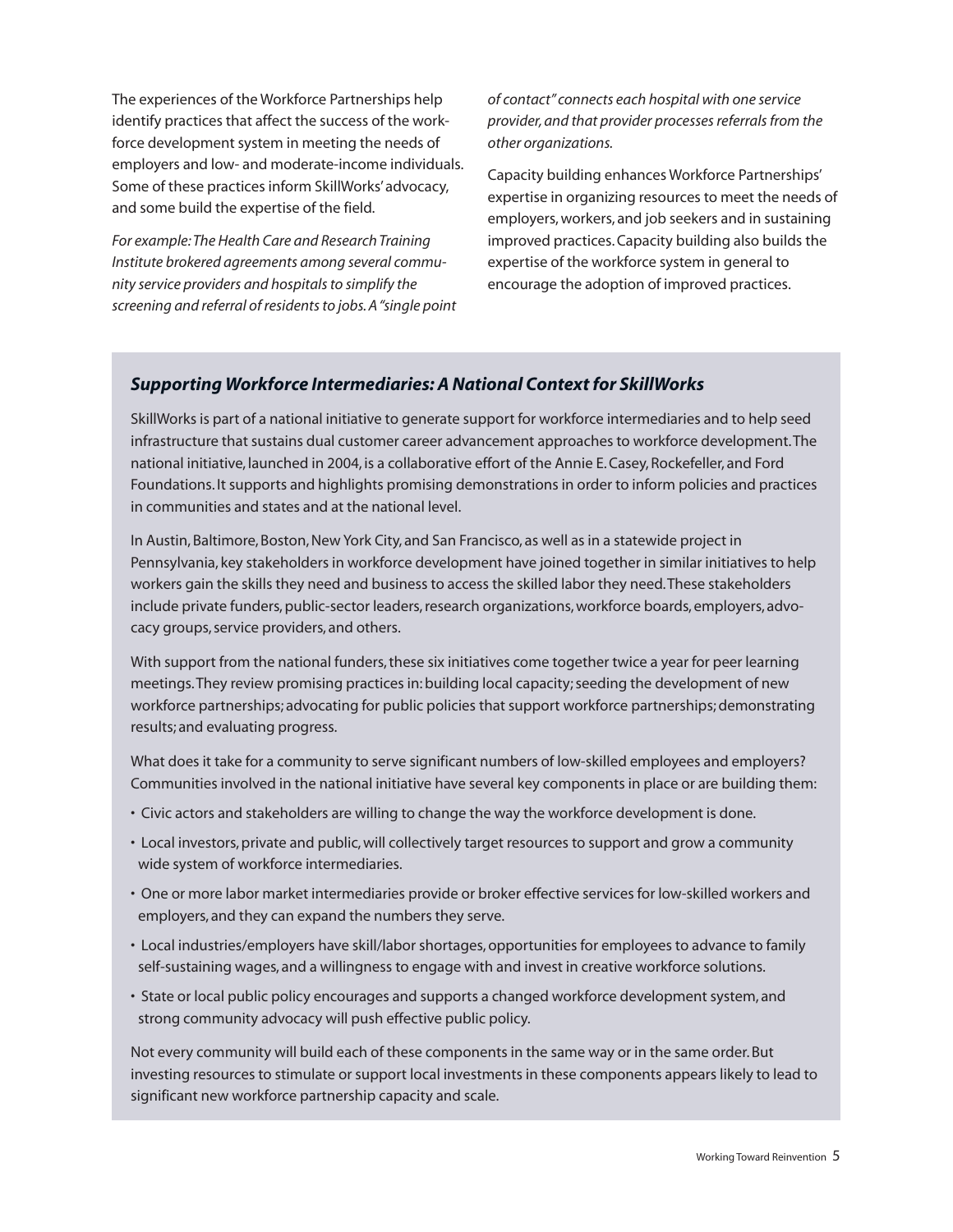The experiences of the Workforce Partnerships help identify practices that affect the success of the workforce development system in meeting the needs of employers and low- and moderate-income individuals. Some of these practices inform SkillWorks'advocacy, and some build the expertise of the field.

*For example:The Health Care and Research Training Institute brokered agreements among several community service providers and hospitalsto simplify the screening and referral of residentsto jobs.A"single point* *of contact" connects each hospital with one service provider,and that provider processesreferralsfrom the other organizations.*

Capacity building enhances Workforce Partnerships' expertise in organizing resources to meet the needs of employers,workers, and job seekers and in sustaining improved practices.Capacity building also builds the expertise of the workforce system in general to encourage the adoption of improved practices.

### *Supporting Workforce Intermediaries: A National Context for SkillWorks*

SkillWorks is part of a national initiative to generate support for workforce intermediaries and to help seed infrastructure that sustains dual customer career advancement approaches to workforce development.The national initiative, launched in 2004, is a collaborative effort of the Annie E.Casey,Rockefeller, and Ford Foundations. It supports and highlights promising demonstrations in order to inform policies and practices in communities and states and at the national level.

In Austin, Baltimore, Boston, New York City, and San Francisco, as well as in a statewide project in Pennsylvania, key stakeholders in workforce development have joined together in similar initiatives to help workers gain the skills they need and business to access the skilled labor they need.These stakeholders include private funders, public-sector leaders, research organizations, workforce boards, employers, advocacy groups, service providers, and others.

With support from the national funders, these six initiatives come together twice a year for peer learning meetings.They review promising practices in:building local capacity;seeding the development of new workforce partnerships; advocating for public policies that support workforce partnerships; demonstrating results; and evaluating progress.

What does it take for a community to serve significant numbers of low-skilled employees and employers? Communities involved in the national initiative have several key components in place or are building them:

- Civic actors and stakeholders are willing to change the way the workforce development is done.
- Local investors,private and public,will collectively target resources to support and grow a community wide system of workforce intermediaries.
- One or more labor market intermediaries provide or broker effective services for low-skilled workers and employers, and they can expand the numbers they serve.
- Local industries/employers have skill/labor shortages,opportunities for employees to advance to family self-sustaining wages, and a willingness to engage with and invest in creative workforce solutions.
- State or local public policy encourages and supports a changed workforce development system, and strong community advocacy will push effective public policy.

Not every community will build each of these components in the same way or in the same order.But investing resources to stimulate or support local investments in these components appears likely to lead to significant new workforce partnership capacity and scale.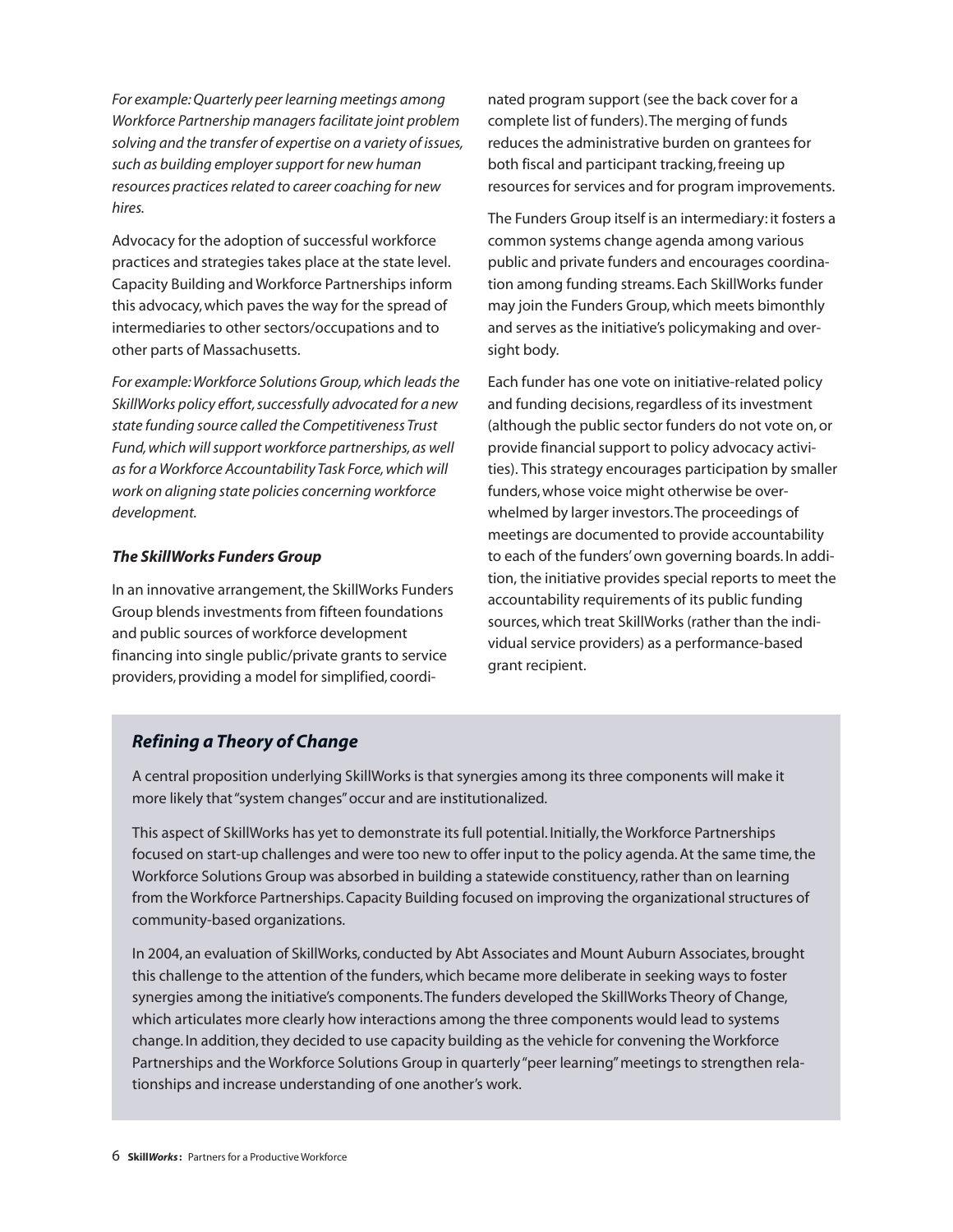*For example:Quarterly peer learning meetings among Workforce Partnership managersfacilitate joint problem solving and the transfer of expertise on a variety of issues, such as building employersupport for new human resources practicesrelated to career coaching for new hires.*

Advocacy for the adoption of successful workforce practices and strategies takes place at the state level. Capacity Building and Workforce Partnerships inform this advocacy,which paves the way for the spread of intermediaries to other sectors/occupations and to other parts of Massachusetts.

*For example:Workforce Solutions Group,which leadsthe SkillWorks policy effort,successfully advocated for a new state funding source called the Competitiveness Trust Fund,which willsupport workforce partnerships,as well asfor a Workforce Accountability Task Force,which will work on aligning state policies concerning workforce development.*

### *The SkillWorks Funders Group*

In an innovative arrangement, the SkillWorks Funders Group blends investments from fifteen foundations and public sources of workforce development financing into single public/private grants to service providers, providing a model for simplified, coordi-

nated program support (see the back cover for a complete list of funders).The merging of funds reduces the administrative burden on grantees for both fiscal and participant tracking,freeing up resources for services and for program improvements.

The Funders Group itself is an intermediary: it fosters a common systems change agenda among various public and private funders and encourages coordination among funding streams. Each SkillWorks funder may join the Funders Group,which meets bimonthly and serves as the initiative's policymaking and oversight body.

Each funder has one vote on initiative-related policy and funding decisions, regardless of its investment (although the public sector funders do not vote on,or provide financial support to policy advocacy activities). This strategy encourages participation by smaller funders,whose voice might otherwise be overwhelmed by larger investors.The proceedings of meetings are documented to provide accountability to each of the funders'own governing boards. In addition, the initiative provides special reports to meet the accountability requirements of its public funding sources,which treat SkillWorks (rather than the individual service providers) as a performance-based grant recipient.

### *Refining a Theory of Change*

A central proposition underlying SkillWorks is that synergies among its three components will make it more likely that"system changes"occur and are institutionalized.

This aspect of SkillWorks has yet to demonstrate its full potential. Initially,the Workforce Partnerships focused on start-up challenges and were too new to offer input to the policy agenda. At the same time, the Workforce Solutions Group was absorbed in building a statewide constituency, rather than on learning from the Workforce Partnerships.Capacity Building focused on improving the organizational structures of community-based organizations.

In 2004, an evaluation of SkillWorks, conducted by Abt Associates and Mount Auburn Associates, brought this challenge to the attention of the funders, which became more deliberate in seeking ways to foster synergies among the initiative's components.The funders developed the SkillWorks Theory of Change, which articulates more clearly how interactions among the three components would lead to systems change. In addition,they decided to use capacity building as the vehicle for convening the Workforce Partnerships and the Workforce Solutions Group in quarterly"peer learning"meetings to strengthen relationships and increase understanding of one another's work.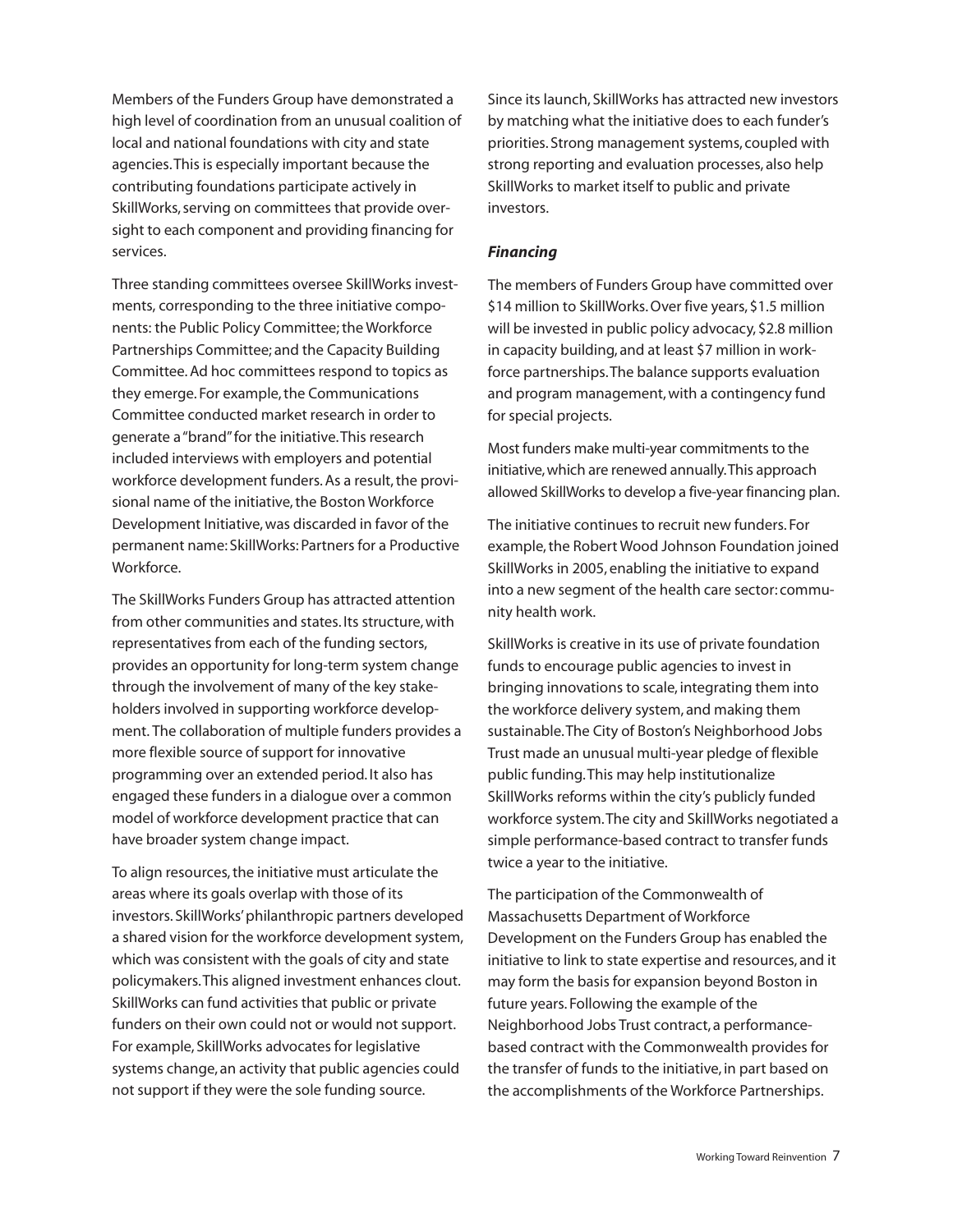Members of the Funders Group have demonstrated a high level of coordination from an unusual coalition of local and national foundations with city and state agencies.This is especially important because the contributing foundations participate actively in SkillWorks, serving on committees that provide oversight to each component and providing financing for services.

Three standing committees oversee SkillWorks investments, corresponding to the three initiative components: the Public Policy Committee;the Workforce Partnerships Committee; and the Capacity Building Committee.Ad hoc committees respond to topics as they emerge. For example, the Communications Committee conducted market research in order to generate a"brand"for the initiative.This research included interviews with employers and potential workforce development funders. As a result, the provisional name of the initiative, the Boston Workforce Development Initiative,was discarded in favor of the permanent name: SkillWorks: Partners for a Productive Workforce.

The SkillWorks Funders Group has attracted attention from other communities and states. Its structure, with representatives from each of the funding sectors, provides an opportunity for long-term system change through the involvement of many of the key stakeholders involved in supporting workforce development. The collaboration of multiple funders provides a more flexible source of support for innovative programming over an extended period. It also has engaged these funders in a dialogue over a common model of workforce development practice that can have broader system change impact.

To align resources, the initiative must articulate the areas where its goals overlap with those of its investors. SkillWorks'philanthropic partners developed a shared vision for the workforce development system, which was consistent with the goals of city and state policymakers.This aligned investment enhances clout. SkillWorks can fund activities that public or private funders on their own could not or would not support. For example, SkillWorks advocates for legislative systems change, an activity that public agencies could not support if they were the sole funding source.

Since its launch, SkillWorks has attracted new investors by matching what the initiative does to each funder's priorities. Strong management systems, coupled with strong reporting and evaluation processes, also help SkillWorks to market itself to public and private investors.

### *Financing*

The members of Funders Group have committed over \$14 million to SkillWorks.Over five years, \$1.5 million will be invested in public policy advocacy, \$2.8 million in capacity building, and at least \$7 million in workforce partnerships.The balance supports evaluation and program management, with a contingency fund for special projects.

Most funders make multi-year commitments to the initiative,which are renewed annually.This approach allowed SkillWorks to develop a five-year financing plan.

The initiative continues to recruit new funders. For example, the Robert Wood Johnson Foundation joined SkillWorks in 2005, enabling the initiative to expand into a new segment of the health care sector: community health work.

SkillWorks is creative in its use of private foundation funds to encourage public agencies to invest in bringing innovations to scale, integrating them into the workforce delivery system, and making them sustainable.The City of Boston's Neighborhood Jobs Trust made an unusual multi-year pledge of flexible public funding.This may help institutionalize SkillWorks reforms within the city's publicly funded workforce system.The city and SkillWorks negotiated a simple performance-based contract to transfer funds twice a year to the initiative.

The participation of the Commonwealth of Massachusetts Department of Workforce Development on the Funders Group has enabled the initiative to link to state expertise and resources, and it may form the basis for expansion beyond Boston in future years. Following the example of the Neighborhood Jobs Trust contract, a performancebased contract with the Commonwealth provides for the transfer of funds to the initiative, in part based on the accomplishments of the Workforce Partnerships.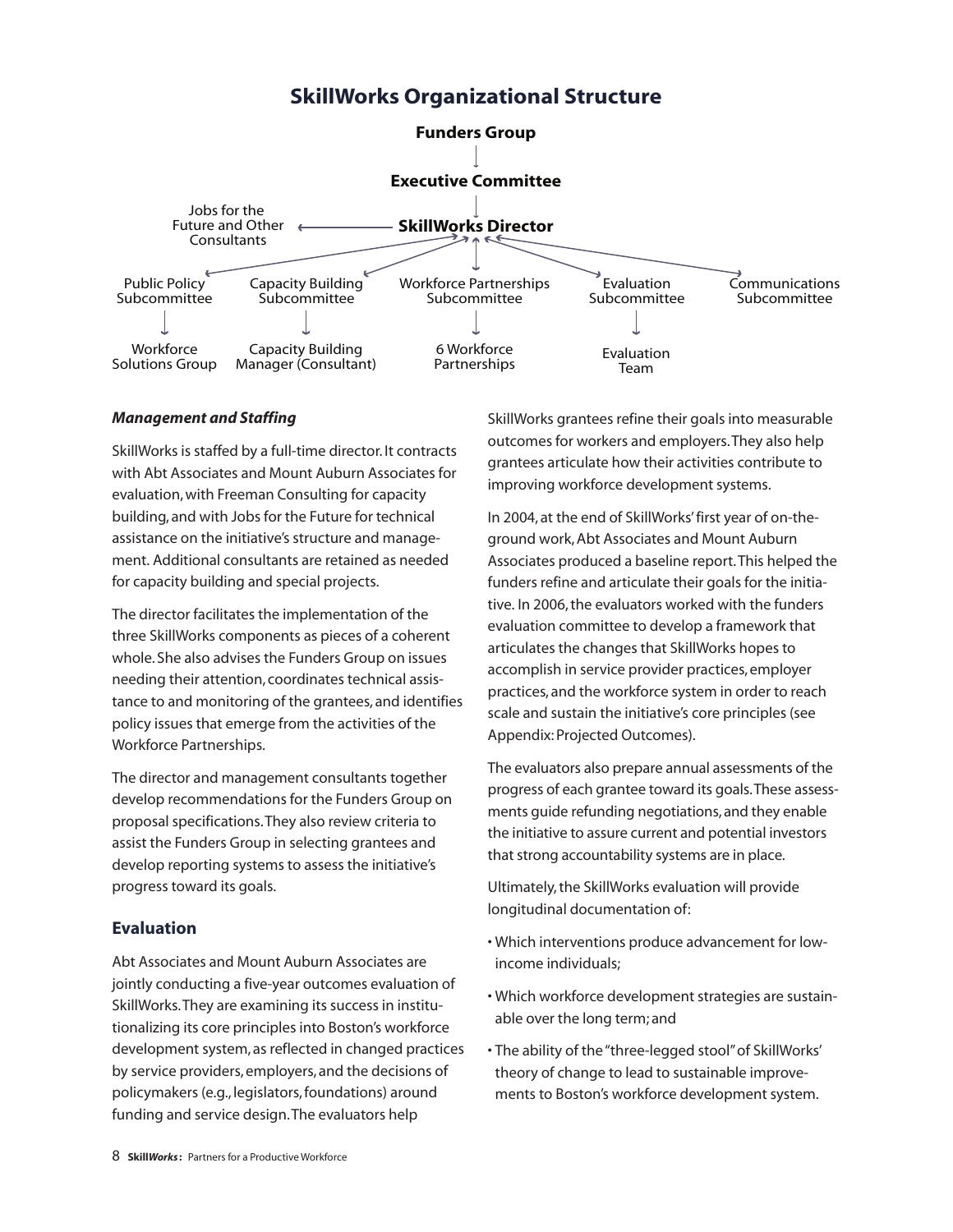## **SkillWorks Organizational Structure**



### *Management and Staffing*

SkillWorks is staffed by a full-time director. It contracts with Abt Associates and Mount Auburn Associates for evaluation,with Freeman Consulting for capacity building, and with Jobs for the Future for technical assistance on the initiative's structure and management. Additional consultants are retained as needed for capacity building and special projects.

The director facilitates the implementation of the three SkillWorks components as pieces of a coherent whole. She also advises the Funders Group on issues needing their attention, coordinates technical assistance to and monitoring of the grantees, and identifies policy issues that emerge from the activities of the Workforce Partnerships.

The director and management consultants together develop recommendations for the Funders Group on proposal specifications.They also review criteria to assist the Funders Group in selecting grantees and develop reporting systems to assess the initiative's progress toward its goals.

### **Evaluation**

Abt Associates and Mount Auburn Associates are jointly conducting a five-year outcomes evaluation of SkillWorks.They are examining its success in institutionalizing its core principles into Boston's workforce development system, as reflected in changed practices by service providers, employers, and the decisions of policymakers (e.g., legislators,foundations) around funding and service design.The evaluators help

SkillWorks grantees refine their goals into measurable outcomes for workers and employers.They also help grantees articulate how their activities contribute to improving workforce development systems.

In 2004, at the end of SkillWorks'first year of on-theground work,Abt Associates and Mount Auburn Associates produced a baseline report.This helped the funders refine and articulate their goals for the initiative. In 2006, the evaluators worked with the funders evaluation committee to develop a framework that articulates the changes that SkillWorks hopes to accomplish in service provider practices, employer practices, and the workforce system in order to reach scale and sustain the initiative's core principles (see Appendix:Projected Outcomes).

The evaluators also prepare annual assessments of the progress of each grantee toward its goals.These assessments guide refunding negotiations, and they enable the initiative to assure current and potential investors that strong accountability systems are in place.

Ultimately,the SkillWorks evaluation will provide longitudinal documentation of:

- Which interventions produce advancement for lowincome individuals;
- Which workforce development strategies are sustainable over the long term; and
- The ability of the"three-legged stool"of SkillWorks' theory of change to lead to sustainable improvements to Boston's workforce development system.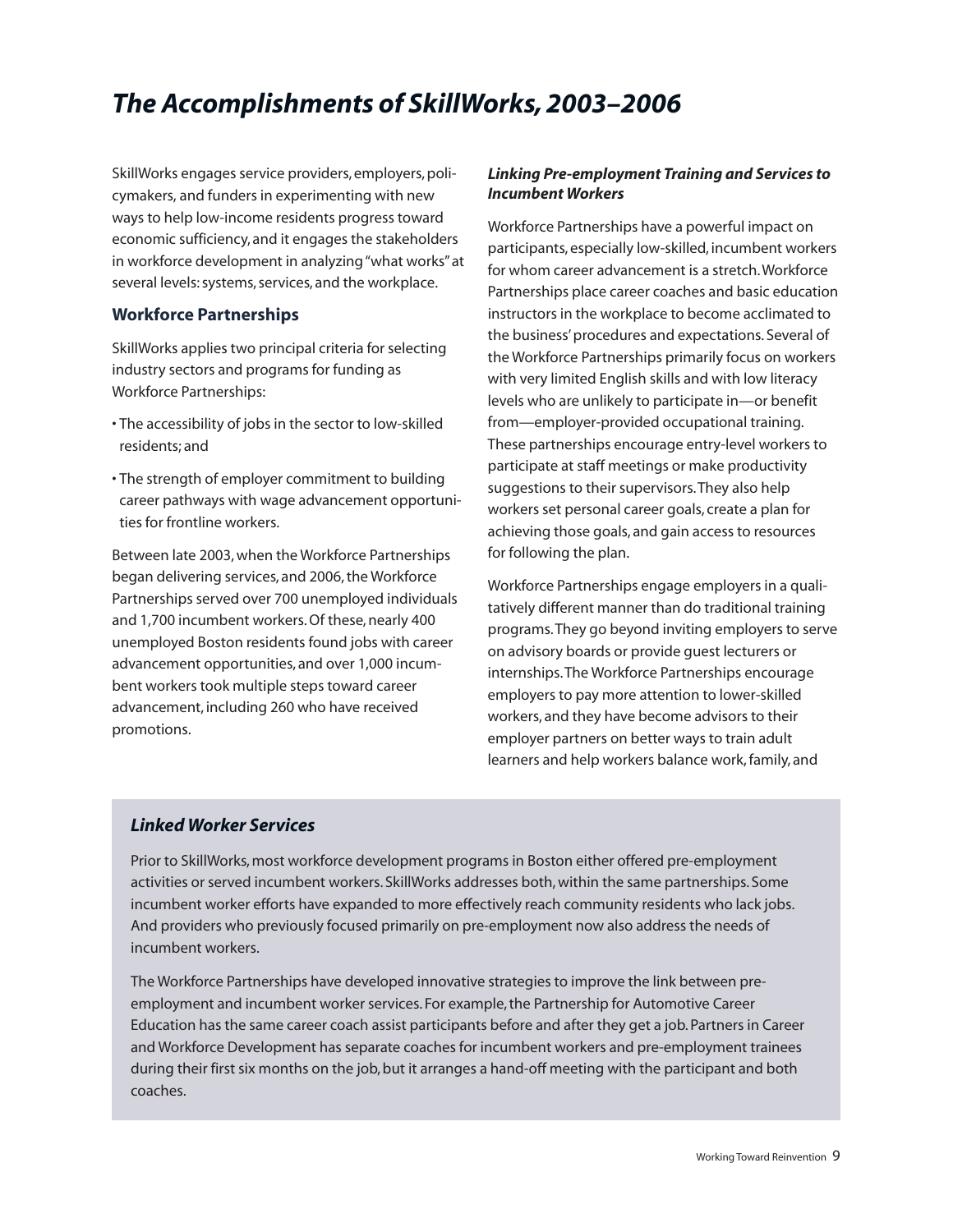# *The Accomplishments of SkillWorks,2003–2006*

SkillWorks engages service providers, employers, policymakers, and funders in experimenting with new ways to help low-income residents progress toward economic sufficiency, and it engages the stakeholders in workforce development in analyzing"what works"at several levels: systems, services, and the workplace.

### **Workforce Partnerships**

SkillWorks applies two principal criteria for selecting industry sectors and programs for funding as Workforce Partnerships:

- The accessibility of jobs in the sector to low-skilled residents; and
- The strength of employer commitment to building career pathways with wage advancement opportunities for frontline workers.

Between late 2003,when the Workforce Partnerships began delivering services, and 2006, the Workforce Partnerships served over 700 unemployed individuals and 1,700 incumbent workers. Of these, nearly 400 unemployed Boston residents found jobs with career advancement opportunities, and over 1,000 incumbent workers took multiple steps toward career advancement, including 260 who have received promotions.

### *Linking Pre-employment Training and Services to Incumbent Workers*

Workforce Partnerships have a powerful impact on participants, especially low-skilled, incumbent workers for whom career advancement is a stretch.Workforce Partnerships place career coaches and basic education instructors in the workplace to become acclimated to the business'procedures and expectations. Several of the Workforce Partnerships primarily focus on workers with very limited English skills and with low literacy levels who are unlikely to participate in—or benefit from—employer-provided occupational training. These partnerships encourage entry-level workers to participate at staff meetings or make productivity suggestions to their supervisors.They also help workers set personal career goals, create a plan for achieving those goals, and gain access to resources for following the plan.

Workforce Partnerships engage employers in a qualitatively different manner than do traditional training programs.They go beyond inviting employers to serve on advisory boards or provide guest lecturers or internships.The Workforce Partnerships encourage employers to pay more attention to lower-skilled workers, and they have become advisors to their employer partners on better ways to train adult learners and help workers balance work, family, and

### *Linked Worker Services*

Prior to SkillWorks,most workforce development programs in Boston either offered pre-employment activities or served incumbent workers. SkillWorks addresses both,within the same partnerships. Some incumbent worker efforts have expanded to more effectively reach community residents who lack jobs. And providers who previously focused primarily on pre-employment now also address the needs of incumbent workers.

The Workforce Partnerships have developed innovative strategies to improve the link between preemployment and incumbent worker services. For example, the Partnership for Automotive Career Education has the same career coach assist participants before and after they get a job.Partners in Career and Workforce Development has separate coaches for incumbent workers and pre-employment trainees during their first six months on the job, but it arranges a hand-off meeting with the participant and both coaches.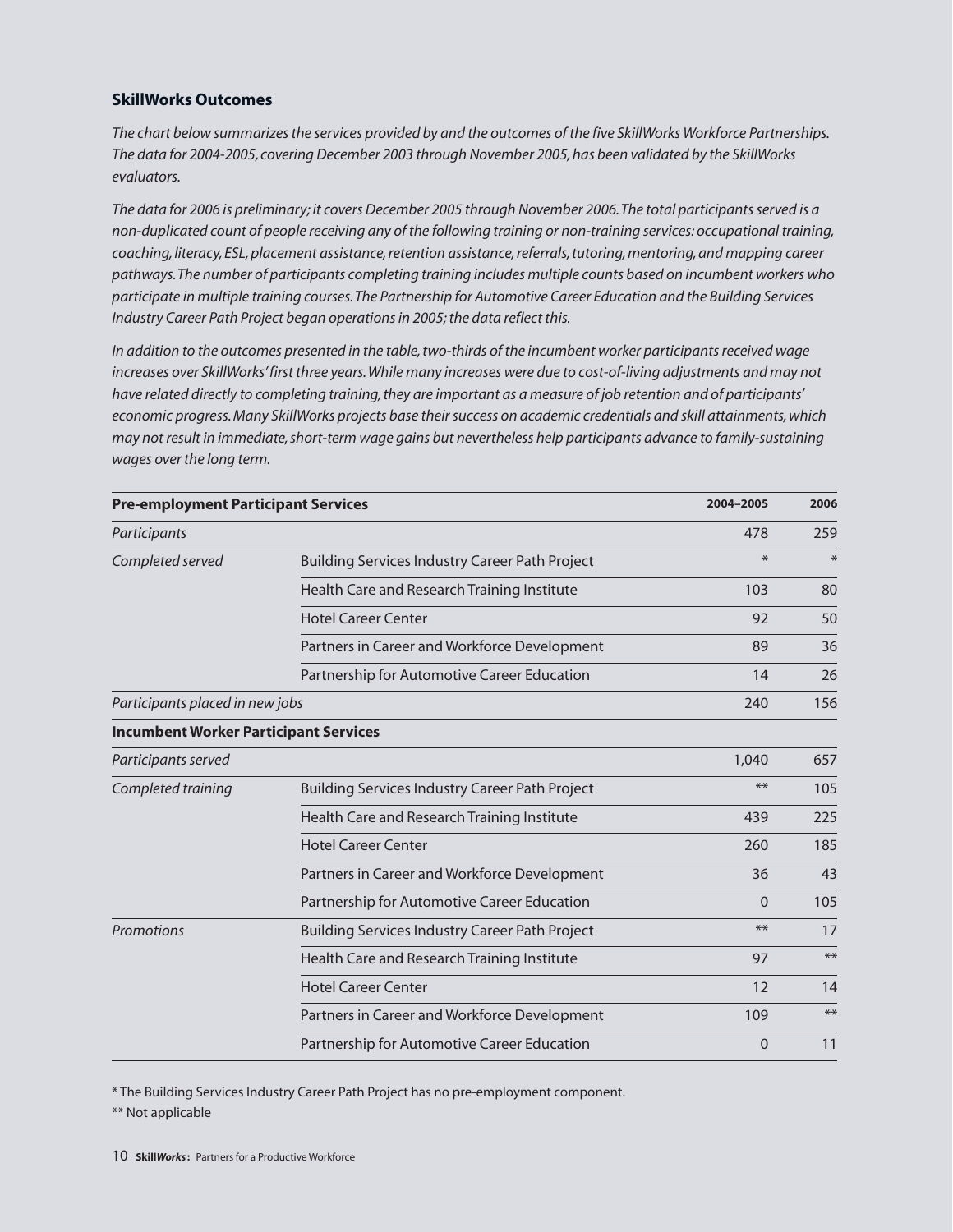### **SkillWorks Outcomes**

The chart below summarizes the services provided by and the outcomes of the five SkillWorks Workforce Partnerships. *The data for 2004-2005, covering December 2003 through November 2005,has been validated by the SkillWorks evaluators.*

The data for 2006 is preliminary; it covers December 2005 through November 2006. The total participants served is a *non-duplicated count of people receiving any of the following training or non-training services: occupational training, coaching, literacy,ESL,placement assistance,retention assistance,referrals,tutoring,mentoring,and mapping career pathways.The number of participants completing training includes multiple counts based on incumbent workers who participate in multiple training courses.The Partnership for Automotive Career Education and the Building Services Industry Career Path Project began operationsin 2005;the data reflect this.*

*In addition to the outcomes presented in the table,two-thirds of the incumbent worker participantsreceived wage increases over SkillWorks'first three years.While many increases were due to cost-of-living adjustments and may not* have related directly to completing training, they are important as a measure of job retention and of participants' *economic progress.Many SkillWorks projects base theirsuccess on academic credentials and skill attainments,which may not result in immediate,short-term wage gains but nevertheless help participants advance to family-sustaining wages over the long term.*

| <b>Pre-employment Participant Services</b><br>Participants |                                                       | 2004-2005<br>478 | 2006<br>259 |
|------------------------------------------------------------|-------------------------------------------------------|------------------|-------------|
|                                                            |                                                       |                  |             |
|                                                            | Health Care and Research Training Institute           | 103              | 80          |
|                                                            | <b>Hotel Career Center</b>                            | 92               | 50          |
|                                                            | Partners in Career and Workforce Development          | 89               | 36          |
|                                                            | Partnership for Automotive Career Education           | 14               | 26          |
| Participants placed in new jobs                            |                                                       | 240              | 156         |
| <b>Incumbent Worker Participant Services</b>               |                                                       |                  |             |
| Participants served                                        |                                                       | 1,040            | 657         |
| Completed training                                         | <b>Building Services Industry Career Path Project</b> | $**$             | 105         |
|                                                            | Health Care and Research Training Institute           | 439              | 225         |
|                                                            | <b>Hotel Career Center</b>                            | 260              | 185         |
|                                                            | Partners in Career and Workforce Development          | 36               | 43          |
|                                                            | Partnership for Automotive Career Education           | $\Omega$         | 105         |
| Promotions                                                 | <b>Building Services Industry Career Path Project</b> | $***$            | 17          |
|                                                            | Health Care and Research Training Institute           | 97               | $***$       |
|                                                            | <b>Hotel Career Center</b>                            | 12               | 14          |
|                                                            | Partners in Career and Workforce Development          | 109              | $**$        |
|                                                            | Partnership for Automotive Career Education           | $\overline{0}$   | 11          |

\* The Building Services Industry Career Path Project has no pre-employment component.

\*\* Not applicable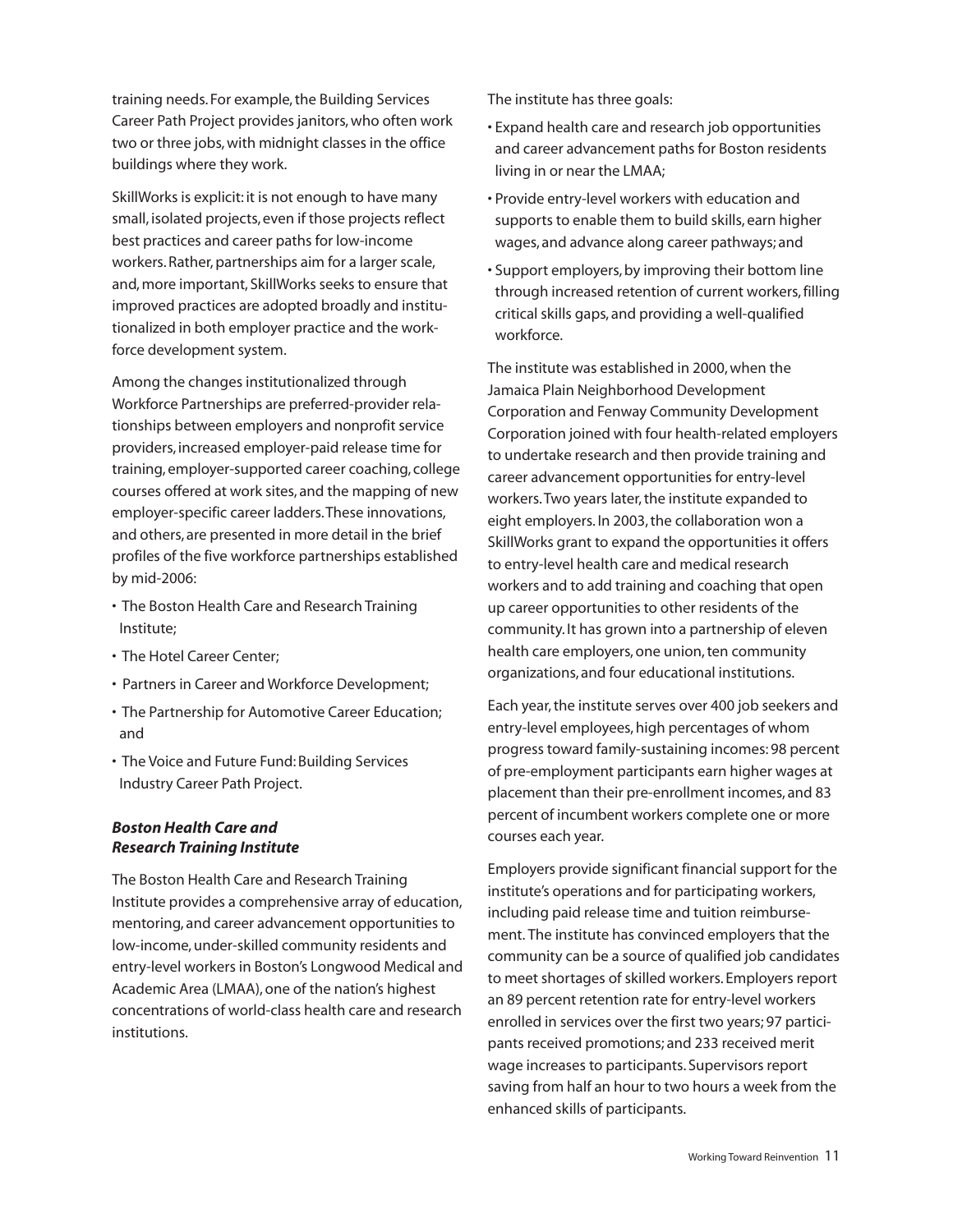training needs. For example,the Building Services Career Path Project provides janitors,who often work two or three jobs, with midnight classes in the office buildings where they work.

SkillWorks is explicit: it is not enough to have many small, isolated projects, even if those projects reflect best practices and career paths for low-income workers. Rather, partnerships aim for a larger scale, and, more important, SkillWorks seeks to ensure that improved practices are adopted broadly and institutionalized in both employer practice and the workforce development system.

Among the changes institutionalized through Workforce Partnerships are preferred-provider relationships between employers and nonprofit service providers, increased employer-paid release time for training, employer-supported career coaching, college courses offered at work sites, and the mapping of new employer-specific career ladders.These innovations, and others, are presented in more detail in the brief profiles of the five workforce partnerships established by mid-2006:

- The Boston Health Care and Research Training Institute;
- The Hotel Career Center;
- Partners in Career and Workforce Development;
- The Partnership for Automotive Career Education; and
- The Voice and Future Fund: Building Services Industry Career Path Project.

### *Boston Health Care and Research Training Institute*

The Boston Health Care and Research Training Institute provides a comprehensive array of education, mentoring, and career advancement opportunities to low-income,under-skilled community residents and entry-level workers in Boston's Longwood Medical and Academic Area (LMAA),one of the nation's highest concentrations of world-class health care and research institutions.

The institute has three goals:

- Expand health care and research job opportunities and career advancement paths for Boston residents living in or near the LMAA;
- Provide entry-level workers with education and supports to enable them to build skills, earn higher wages, and advance along career pathways; and
- Support employers, by improving their bottom line through increased retention of current workers,filling critical skills gaps, and providing a well-qualified workforce.

The institute was established in 2000, when the Jamaica Plain Neighborhood Development Corporation and Fenway Community Development Corporation joined with four health-related employers to undertake research and then provide training and career advancement opportunities for entry-level workers. Two years later, the institute expanded to eight employers. In 2003, the collaboration won a SkillWorks grant to expand the opportunities it offers to entry-level health care and medical research workers and to add training and coaching that open up career opportunities to other residents of the community. It has grown into a partnership of eleven health care employers, one union, ten community organizations, and four educational institutions.

Each year,the institute serves over 400 job seekers and entry-level employees, high percentages of whom progress toward family-sustaining incomes: 98 percent of pre-employment participants earn higher wages at placement than their pre-enrollment incomes, and 83 percent of incumbent workers complete one or more courses each year.

Employers provide significant financial support for the institute's operations and for participating workers, including paid release time and tuition reimbursement. The institute has convinced employers that the community can be a source of qualified job candidates to meet shortages of skilled workers. Employers report an 89 percent retention rate for entry-level workers enrolled in services over the first two years; 97 participants received promotions; and 233 received merit wage increases to participants. Supervisors report saving from half an hour to two hours a week from the enhanced skills of participants.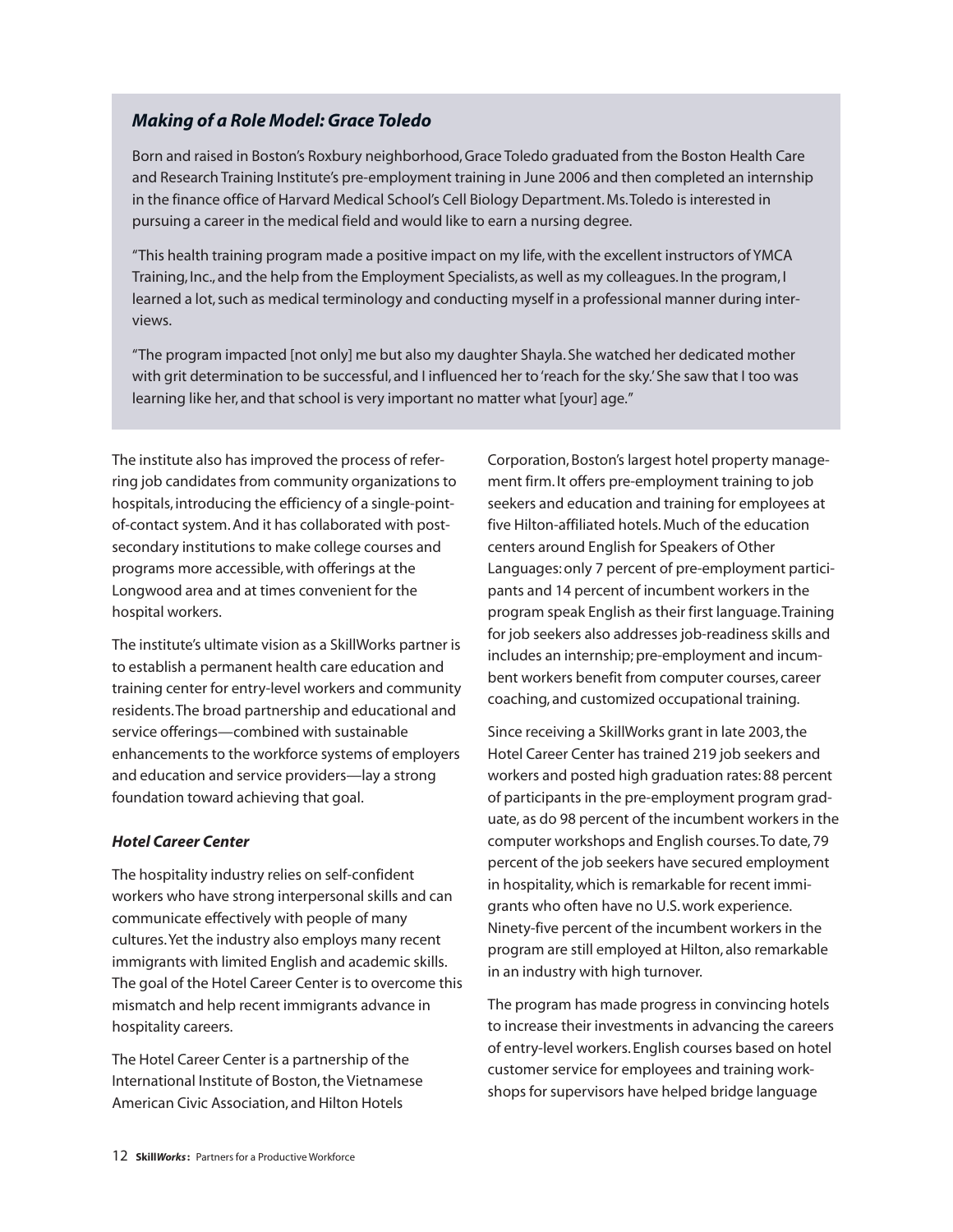### *Making of a Role Model:Grace Toledo*

Born and raised in Boston's Roxbury neighborhood,Grace Toledo graduated from the Boston Health Care and Research Training Institute's pre-employment training in June 2006 and then completed an internship in the finance office of Harvard Medical School's Cell Biology Department.Ms.Toledo is interested in pursuing a career in the medical field and would like to earn a nursing degree.

"This health training program made a positive impact on my life,with the excellent instructors of YMCA Training, Inc., and the help from the Employment Specialists, as well as my colleagues. In the program, I learned a lot,such as medical terminology and conducting myself in a professional manner during interviews.

"The program impacted [not only] me but also my daughter Shayla. She watched her dedicated mother with grit determination to be successful, and I influenced her to'reach for the sky.'She saw that I too was learning like her, and that school is very important no matter what [your] age."

The institute also has improved the process of referring job candidates from community organizations to hospitals, introducing the efficiency of a single-pointof-contact system.And it has collaborated with postsecondary institutions to make college courses and programs more accessible,with offerings at the Longwood area and at times convenient for the hospital workers.

The institute's ultimate vision as a SkillWorks partner is to establish a permanent health care education and training center for entry-level workers and community residents.The broad partnership and educational and service offerings—combined with sustainable enhancements to the workforce systems of employers and education and service providers—lay a strong foundation toward achieving that goal.

### *Hotel Career Center*

The hospitality industry relies on self-confident workers who have strong interpersonal skills and can communicate effectively with people of many cultures.Yet the industry also employs many recent immigrants with limited English and academic skills. The goal of the Hotel Career Center is to overcome this mismatch and help recent immigrants advance in hospitality careers.

The Hotel Career Center is a partnership of the International Institute of Boston, the Vietnamese American Civic Association, and Hilton Hotels

Corporation, Boston's largest hotel property management firm. It offers pre-employment training to job seekers and education and training for employees at five Hilton-affiliated hotels.Much of the education centers around English for Speakers of Other Languages:only 7 percent of pre-employment participants and 14 percent of incumbent workers in the program speak English as their first language.Training for job seekers also addresses job-readiness skills and includes an internship; pre-employment and incumbent workers benefit from computer courses, career coaching, and customized occupational training.

Since receiving a SkillWorks grant in late 2003, the Hotel Career Center has trained 219 job seekers and workers and posted high graduation rates: 88 percent of participants in the pre-employment program graduate, as do 98 percent of the incumbent workers in the computer workshops and English courses.To date, 79 percent of the job seekers have secured employment in hospitality, which is remarkable for recent immigrants who often have no U.S.work experience. Ninety-five percent of the incumbent workers in the program are still employed at Hilton, also remarkable in an industry with high turnover.

The program has made progress in convincing hotels to increase their investments in advancing the careers of entry-level workers. English courses based on hotel customer service for employees and training workshops for supervisors have helped bridge language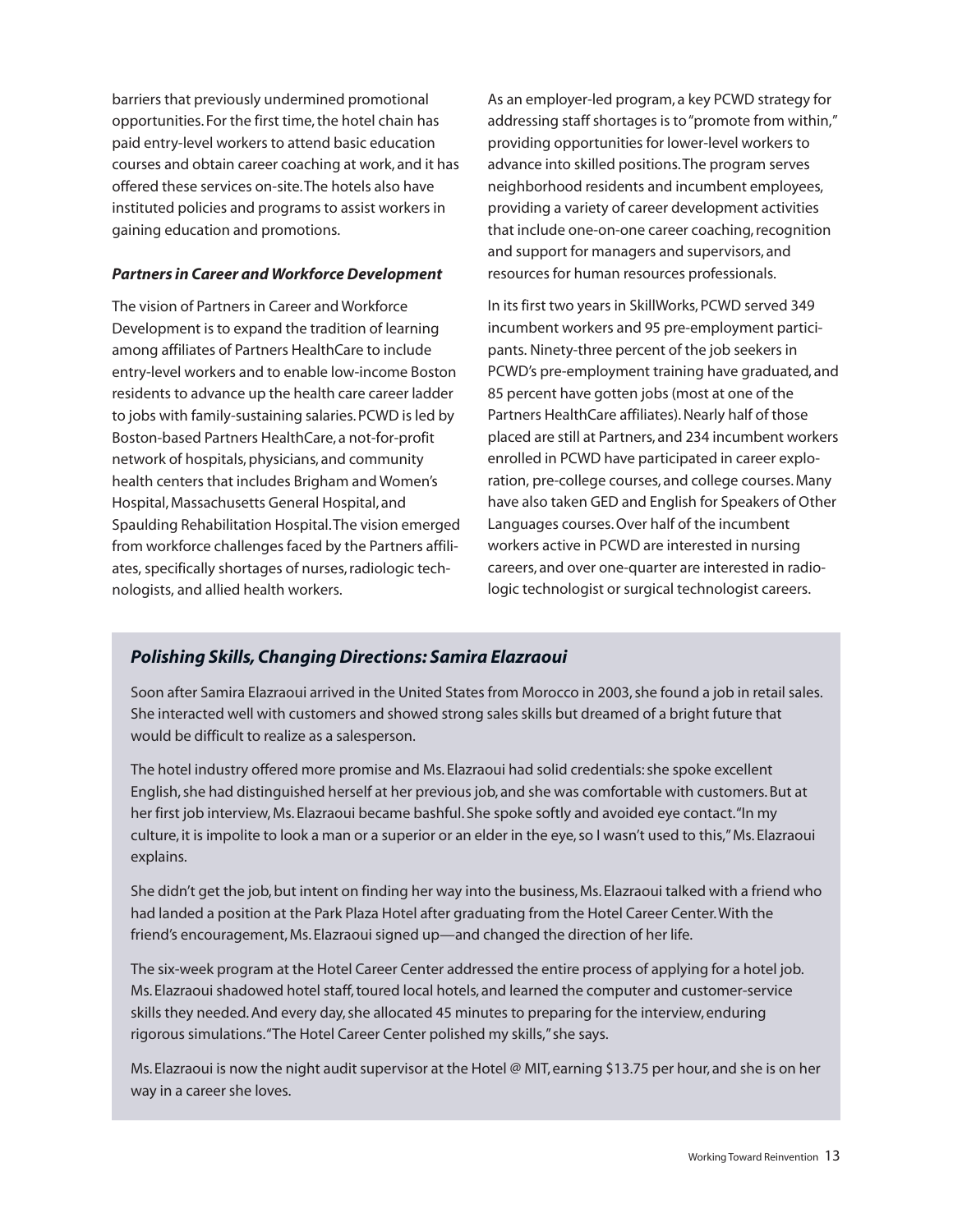barriers that previously undermined promotional opportunities. For the first time, the hotel chain has paid entry-level workers to attend basic education courses and obtain career coaching at work, and it has offered these services on-site.The hotels also have instituted policies and programs to assist workers in gaining education and promotions.

### *Partners in Career and Workforce Development*

The vision of Partners in Career and Workforce Development is to expand the tradition of learning among affiliates of Partners HealthCare to include entry-level workers and to enable low-income Boston residents to advance up the health care career ladder to jobs with family-sustaining salaries.PCWD is led by Boston-based Partners HealthCare, a not-for-profit network of hospitals, physicians, and community health centers that includes Brigham and Women's Hospital,Massachusetts General Hospital, and Spaulding Rehabilitation Hospital.The vision emerged from workforce challenges faced by the Partners affiliates, specifically shortages of nurses,radiologic technologists, and allied health workers.

As an employer-led program, a key PCWD strategy for addressing staff shortages is to "promote from within," providing opportunities for lower-level workers to advance into skilled positions.The program serves neighborhood residents and incumbent employees, providing a variety of career development activities that include one-on-one career coaching,recognition and support for managers and supervisors, and resources for human resources professionals.

In its first two years in SkillWorks, PCWD served 349 incumbent workers and 95 pre-employment participants. Ninety-three percent of the job seekers in PCWD's pre-employment training have graduated, and 85 percent have gotten jobs (most at one of the Partners HealthCare affiliates). Nearly half of those placed are still at Partners, and 234 incumbent workers enrolled in PCWD have participated in career exploration, pre-college courses, and college courses.Many have also taken GED and English for Speakers of Other Languages courses.Over half of the incumbent workers active in PCWD are interested in nursing careers, and over one-quarter are interested in radiologic technologist or surgical technologist careers.

### *Polishing Skills,Changing Directions: Samira Elazraoui*

Soon after Samira Elazraoui arrived in the United States from Morocco in 2003, she found a job in retail sales. She interacted well with customers and showed strong sales skills but dreamed of a bright future that would be difficult to realize as a salesperson.

The hotel industry offered more promise and Ms. Elazraoui had solid credentials:she spoke excellent English, she had distinguished herself at her previous job, and she was comfortable with customers. But at her first job interview, Ms. Elazraoui became bashful. She spoke softly and avoided eye contact. "In my culture, it is impolite to look a man or a superior or an elder in the eye,so I wasn't used to this,"Ms. Elazraoui explains.

She didn't get the job, but intent on finding her way into the business, Ms. Elazraoui talked with a friend who had landed a position at the Park Plaza Hotel after graduating from the Hotel Career Center.With the friend's encouragement,Ms. Elazraoui signed up—and changed the direction of her life.

The six-week program at the Hotel Career Center addressed the entire process of applying for a hotel job. Ms. Elazraoui shadowed hotel staff,toured local hotels, and learned the computer and customer-service skills they needed.And every day,she allocated 45 minutes to preparing for the interview, enduring rigorous simulations."The Hotel Career Center polished my skills,"she says.

Ms. Elazraoui is now the night audit supervisor at the Hotel @ MIT, earning \$13.75 per hour, and she is on her way in a career she loves.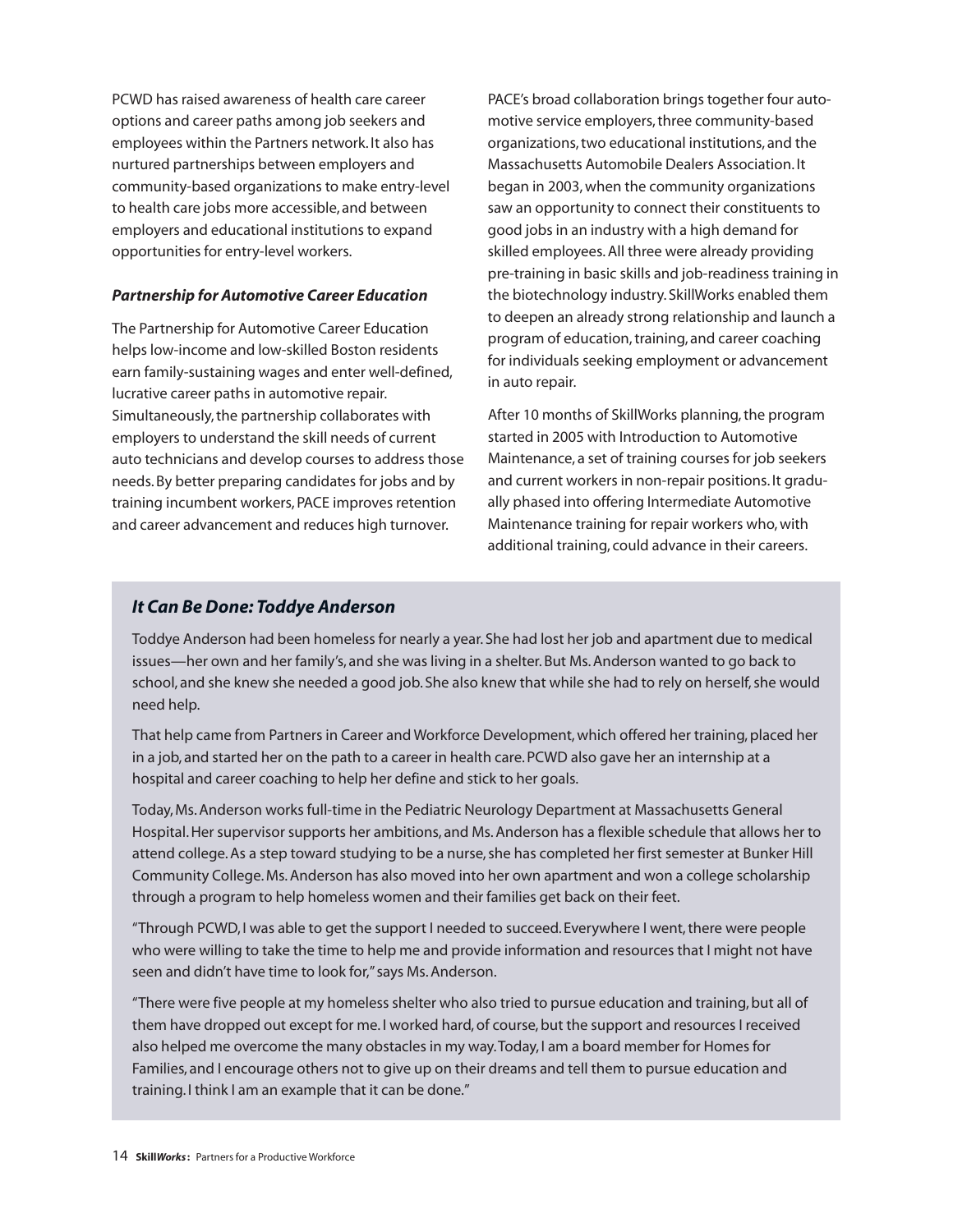PCWD has raised awareness of health care career options and career paths among job seekers and employees within the Partners network. It also has nurtured partnerships between employers and community-based organizations to make entry-level to health care jobs more accessible, and between employers and educational institutions to expand opportunities for entry-level workers.

### *Partnership for Automotive Career Education*

The Partnership for Automotive Career Education helps low-income and low-skilled Boston residents earn family-sustaining wages and enter well-defined, lucrative career paths in automotive repair. Simultaneously,the partnership collaborates with employers to understand the skill needs of current auto technicians and develop courses to address those needs.By better preparing candidates for jobs and by training incumbent workers,PACE improves retention and career advancement and reduces high turnover.

PACE's broad collaboration brings together four automotive service employers, three community-based organizations,two educational institutions, and the Massachusetts Automobile Dealers Association. It began in 2003,when the community organizations saw an opportunity to connect their constituents to good jobs in an industry with a high demand for skilled employees.All three were already providing pre-training in basic skills and job-readiness training in the biotechnology industry. SkillWorks enabled them to deepen an already strong relationship and launch a program of education, training, and career coaching for individuals seeking employment or advancement in auto repair.

After 10 months of SkillWorks planning, the program started in 2005 with Introduction to Automotive Maintenance, a set of training courses for job seekers and current workers in non-repair positions. It gradually phased into offering Intermediate Automotive Maintenance training for repair workers who,with additional training, could advance in their careers.

### *It Can Be Done: Toddye Anderson*

Toddye Anderson had been homeless for nearly a year. She had lost her job and apartment due to medical issues—her own and her family's, and she was living in a shelter. But Ms. Anderson wanted to go back to school, and she knew she needed a good job. She also knew that while she had to rely on herself, she would need help.

That help came from Partners in Career and Workforce Development, which offered her training, placed her in a job, and started her on the path to a career in health care.PCWD also gave her an internship at a hospital and career coaching to help her define and stick to her goals.

Today,Ms.Anderson works full-time in the Pediatric Neurology Department at Massachusetts General Hospital.Her supervisor supports her ambitions, and Ms.Anderson has a flexible schedule that allows her to attend college. As a step toward studying to be a nurse, she has completed her first semester at Bunker Hill Community College.Ms.Anderson has also moved into her own apartment and won a college scholarship through a program to help homeless women and their families get back on their feet.

"Through PCWD, I was able to get the support I needed to succeed. Everywhere I went, there were people who were willing to take the time to help me and provide information and resources that I might not have seen and didn't have time to look for,"says Ms.Anderson.

"There were five people at my homeless shelter who also tried to pursue education and training,but all of them have dropped out except for me. I worked hard, of course, but the support and resources I received also helped me overcome the many obstacles in my way.Today, I am a board member for Homes for Families, and I encourage others not to give up on their dreams and tell them to pursue education and training. I think I am an example that it can be done."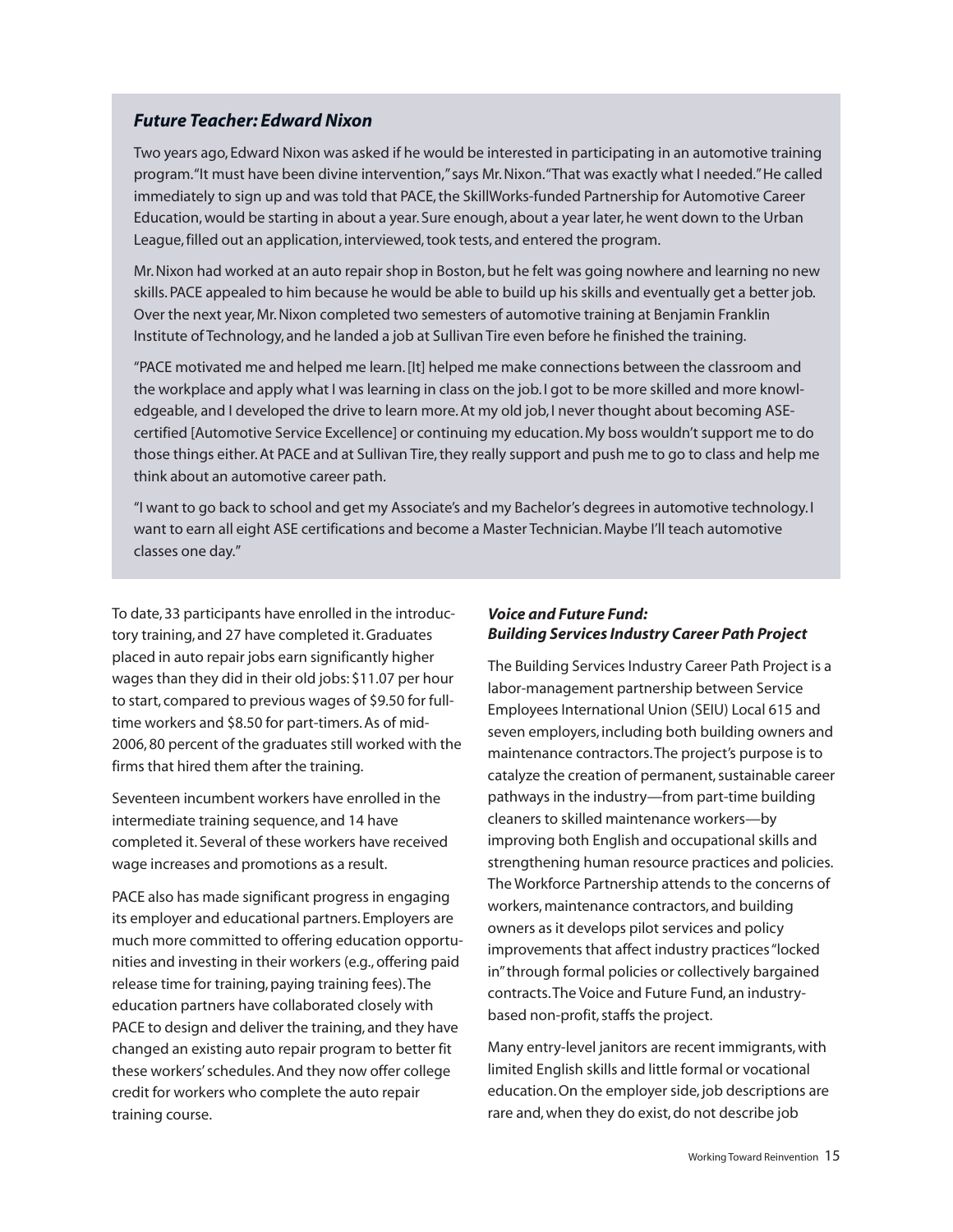### *Future Teacher: Edward Nixon*

Two years ago, Edward Nixon was asked if he would be interested in participating in an automotive training program."It must have been divine intervention,"says Mr.Nixon."That was exactly what I needed."He called immediately to sign up and was told that PACE, the SkillWorks-funded Partnership for Automotive Career Education,would be starting in about a year. Sure enough, about a year later,he went down to the Urban League, filled out an application, interviewed, took tests, and entered the program.

Mr. Nixon had worked at an auto repair shop in Boston, but he felt was going nowhere and learning no new skills.PACE appealed to him because he would be able to build up his skills and eventually get a better job. Over the next year,Mr.Nixon completed two semesters of automotive training at Benjamin Franklin Institute of Technology, and he landed a job at Sullivan Tire even before he finished the training.

"PACE motivated me and helped me learn.[It] helped me make connections between the classroom and the workplace and apply what I was learning in class on the job. I got to be more skilled and more knowledgeable, and I developed the drive to learn more. At my old job, I never thought about becoming ASEcertified [Automotive Service Excellence] or continuing my education.My boss wouldn't support me to do those things either. At PACE and at Sullivan Tire, they really support and push me to go to class and help me think about an automotive career path.

"I want to go back to school and get my Associate's and my Bachelor's degrees in automotive technology. I want to earn all eight ASE certifications and become a Master Technician.Maybe I'll teach automotive classes one day."

To date, 33 participants have enrolled in the introductory training, and 27 have completed it.Graduates placed in auto repair jobs earn significantly higher wages than they did in their old jobs: \$11.07 per hour to start, compared to previous wages of \$9.50 for fulltime workers and \$8.50 for part-timers.As of mid-2006, 80 percent of the graduates still worked with the firms that hired them after the training.

Seventeen incumbent workers have enrolled in the intermediate training sequence, and 14 have completed it. Several of these workers have received wage increases and promotions as a result.

PACE also has made significant progress in engaging its employer and educational partners. Employers are much more committed to offering education opportunities and investing in their workers (e.g.,offering paid release time for training, paying training fees). The education partners have collaborated closely with PACE to design and deliver the training, and they have changed an existing auto repair program to better fit these workers'schedules.And they now offer college credit for workers who complete the auto repair training course.

### *Voice and Future Fund: Building Services Industry Career Path Project*

The Building Services Industry Career Path Project is a labor-management partnership between Service Employees International Union (SEIU) Local 615 and seven employers, including both building owners and maintenance contractors.The project's purpose is to catalyze the creation of permanent, sustainable career pathways in the industry—from part-time building cleaners to skilled maintenance workers—by improving both English and occupational skills and strengthening human resource practices and policies. The Workforce Partnership attends to the concerns of workers,maintenance contractors, and building owners as it develops pilot services and policy improvements that affect industry practices "locked in"through formal policies or collectively bargained contracts.The Voice and Future Fund, an industrybased non-profit, staffs the project.

Many entry-level janitors are recent immigrants, with limited English skills and little formal or vocational education.On the employer side, job descriptions are rare and, when they do exist, do not describe job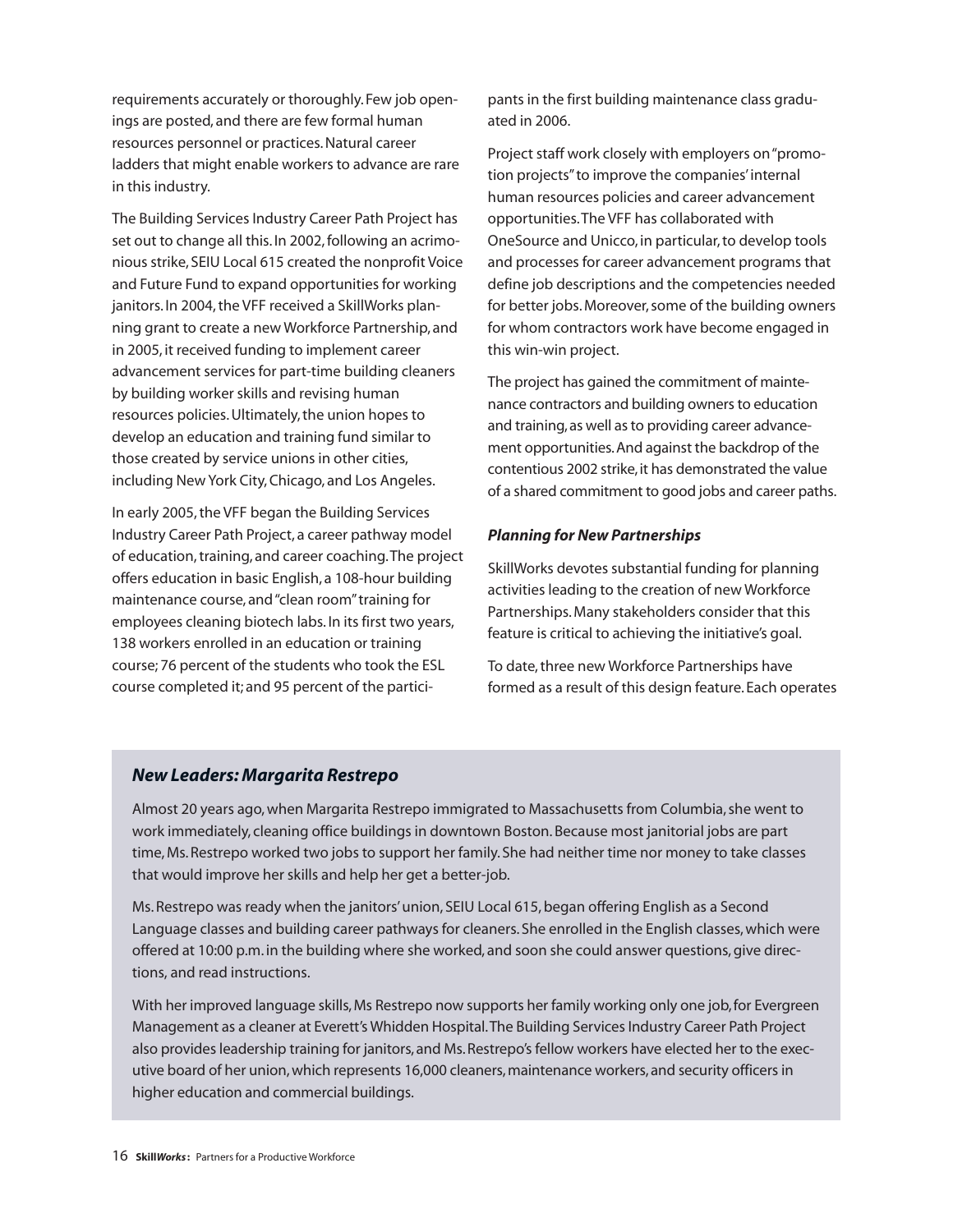requirements accurately or thoroughly. Few job openings are posted, and there are few formal human resources personnel or practices.Natural career ladders that might enable workers to advance are rare in this industry.

The Building Services Industry Career Path Project has set out to change all this. In 2002, following an acrimonious strike, SEIU Local 615 created the nonprofit Voice and Future Fund to expand opportunities for working janitors. In 2004, the VFF received a SkillWorks planning grant to create a new Workforce Partnership, and in 2005, it received funding to implement career advancement services for part-time building cleaners by building worker skills and revising human resources policies.Ultimately,the union hopes to develop an education and training fund similar to those created by service unions in other cities, including New York City, Chicago, and Los Angeles.

In early 2005,the VFF began the Building Services Industry Career Path Project, a career pathway model of education, training, and career coaching. The project offers education in basic English, a 108-hour building maintenance course, and"clean room"training for employees cleaning biotech labs. In its first two years, 138 workers enrolled in an education or training course; 76 percent of the students who took the ESL course completed it; and 95 percent of the participants in the first building maintenance class graduated in 2006.

Project staff work closely with employers on"promotion projects"to improve the companies'internal human resources policies and career advancement opportunities.The VFF has collaborated with OneSource and Unicco, in particular, to develop tools and processes for career advancement programs that define job descriptions and the competencies needed for better jobs. Moreover, some of the building owners for whom contractors work have become engaged in this win-win project.

The project has gained the commitment of maintenance contractors and building owners to education and training, as well as to providing career advancement opportunities.And against the backdrop of the contentious 2002 strike,it has demonstrated the value of a shared commitment to good jobs and career paths.

### *Planning for New Partnerships*

SkillWorks devotes substantial funding for planning activities leading to the creation of new Workforce Partnerships.Many stakeholders consider that this feature is critical to achieving the initiative's goal.

To date, three new Workforce Partnerships have formed as a result of this design feature. Each operates

### *New Leaders: Margarita Restrepo*

Almost 20 years ago, when Margarita Restrepo immigrated to Massachusetts from Columbia, she went to work immediately, cleaning office buildings in downtown Boston.Because most janitorial jobs are part time,Ms.Restrepo worked two jobs to support her family. She had neither time nor money to take classes that would improve her skills and help her get a better-job.

Ms. Restrepo was ready when the janitors' union, SEIU Local 615, began offering English as a Second Language classes and building career pathways for cleaners. She enrolled in the English classes, which were offered at 10:00 p.m. in the building where she worked, and soon she could answer questions, give directions, and read instructions.

With her improved language skills, Ms Restrepo now supports her family working only one job, for Evergreen Management as a cleaner at Everett's Whidden Hospital. The Building Services Industry Career Path Project also provides leadership training for janitors, and Ms. Restrepo's fellow workers have elected her to the executive board of her union, which represents 16,000 cleaners, maintenance workers, and security officers in higher education and commercial buildings.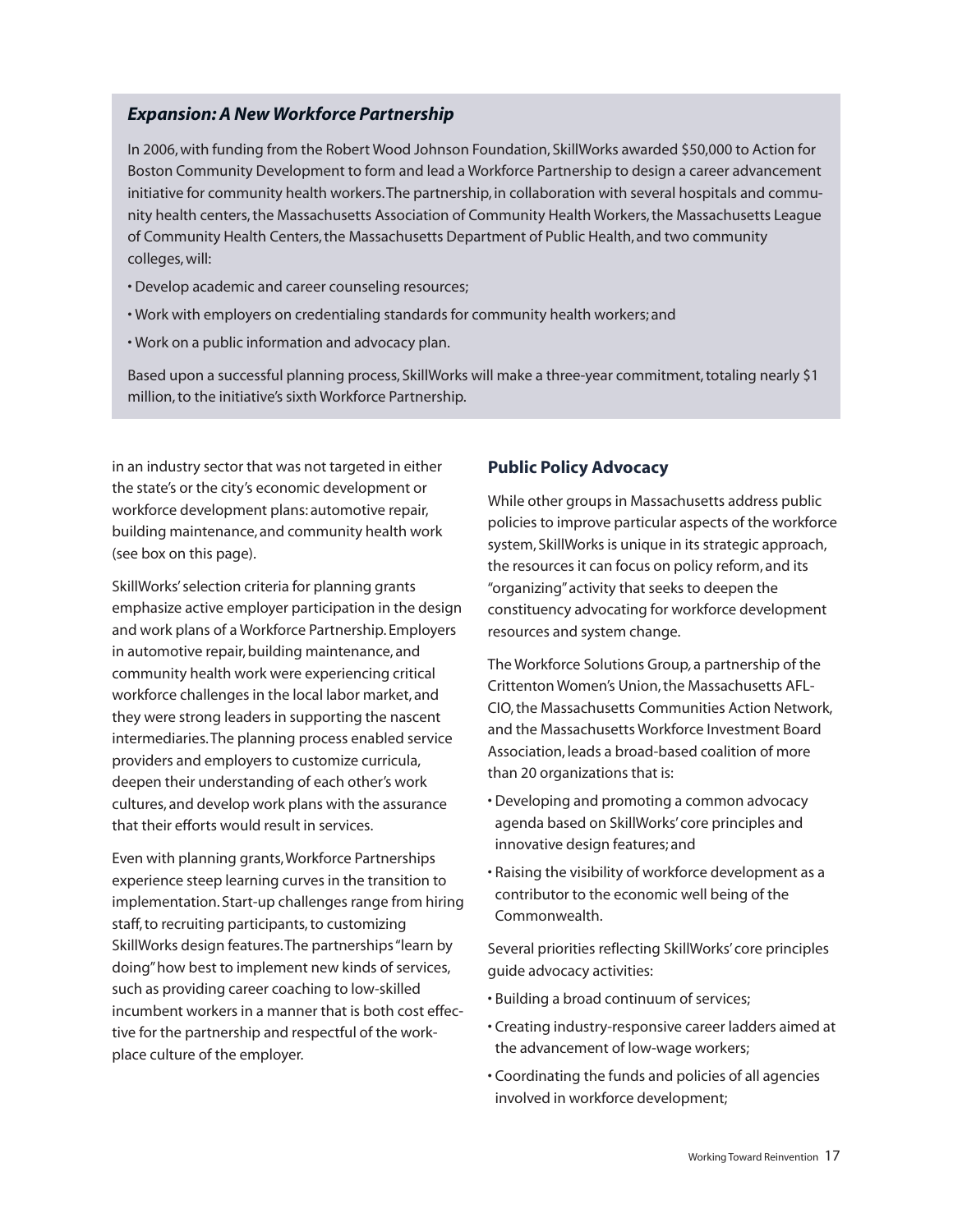### *Expansion: A New Workforce Partnership*

In 2006,with funding from the Robert Wood Johnson Foundation, SkillWorks awarded \$50,000 to Action for Boston Community Development to form and lead a Workforce Partnership to design a career advancement initiative for community health workers.The partnership, in collaboration with several hospitals and community health centers,the Massachusetts Association of Community Health Workers,the Massachusetts League of Community Health Centers, the Massachusetts Department of Public Health, and two community colleges,will:

- Develop academic and career counseling resources;
- Work with employers on credentialing standards for community health workers; and
- Work on a public information and advocacy plan.

Based upon a successful planning process, SkillWorks will make a three-year commitment,totaling nearly \$1 million, to the initiative's sixth Workforce Partnership.

in an industry sector that was not targeted in either the state's or the city's economic development or workforce development plans: automotive repair, building maintenance, and community health work (see box on this page).

SkillWorks'selection criteria for planning grants emphasize active employer participation in the design and work plans of a Workforce Partnership. Employers in automotive repair, building maintenance, and community health work were experiencing critical workforce challenges in the local labor market, and they were strong leaders in supporting the nascent intermediaries.The planning process enabled service providers and employers to customize curricula, deepen their understanding of each other's work cultures, and develop work plans with the assurance that their efforts would result in services.

Even with planning grants,Workforce Partnerships experience steep learning curves in the transition to implementation. Start-up challenges range from hiring staff, to recruiting participants, to customizing SkillWorks design features.The partnerships"learn by doing"how best to implement new kinds of services, such as providing career coaching to low-skilled incumbent workers in a manner that is both cost effective for the partnership and respectful of the workplace culture of the employer.

### **Public Policy Advocacy**

While other groups in Massachusetts address public policies to improve particular aspects of the workforce system, SkillWorks is unique in its strategic approach, the resources it can focus on policy reform, and its "organizing"activity that seeks to deepen the constituency advocating for workforce development resources and system change.

The Workforce Solutions Group*,*a partnership of the Crittenton Women's Union,the Massachusetts AFL-CIO,the Massachusetts Communities Action Network, and the Massachusetts Workforce Investment Board Association, leads a broad-based coalition of more than 20 organizations that is:

- Developing and promoting a common advocacy agenda based on SkillWorks' core principles and innovative design features; and
- Raising the visibility of workforce development as a contributor to the economic well being of the Commonwealth.

Several priorities reflecting SkillWorks' core principles guide advocacy activities:

- Building a broad continuum of services;
- Creating industry-responsive career ladders aimed at the advancement of low-wage workers;
- Coordinating the funds and policies of all agencies involved in workforce development;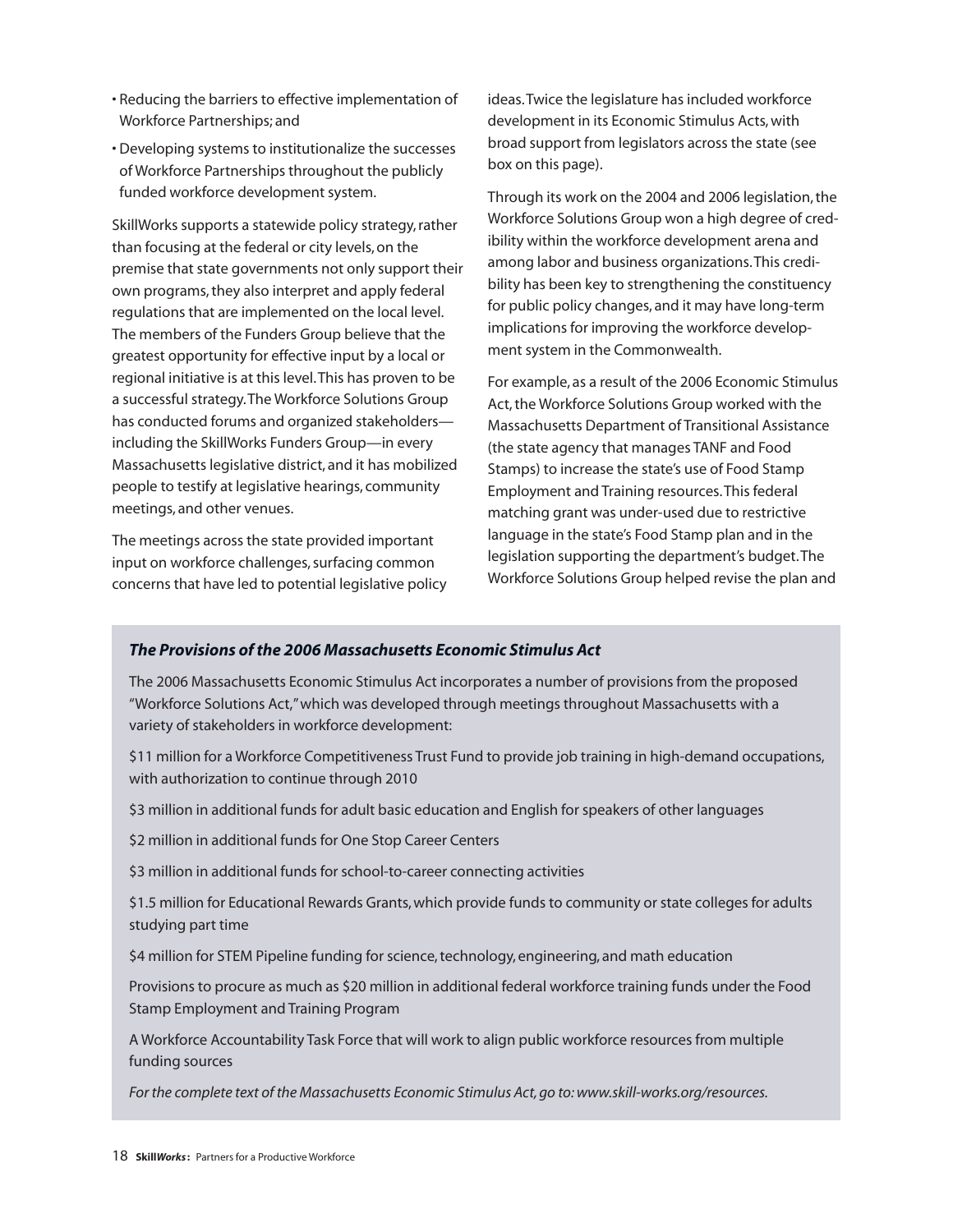- Reducing the barriers to effective implementation of Workforce Partnerships; and
- Developing systems to institutionalize the successes of Workforce Partnerships throughout the publicly funded workforce development system.

SkillWorks supports a statewide policy strategy, rather than focusing at the federal or city levels,on the premise that state governments not only support their own programs, they also interpret and apply federal regulations that are implemented on the local level. The members of the Funders Group believe that the greatest opportunity for effective input by a local or regional initiative is at this level.This has proven to be a successful strategy.The Workforce Solutions Group has conducted forums and organized stakeholders including the SkillWorks Funders Group—in every Massachusetts legislative district, and it has mobilized people to testify at legislative hearings, community meetings, and other venues.

The meetings across the state provided important input on workforce challenges, surfacing common concerns that have led to potential legislative policy ideas.Twice the legislature has included workforce development in its Economic Stimulus Acts,with broad support from legislators across the state (see box on this page).

Through its work on the 2004 and 2006 legislation, the Workforce Solutions Group won a high degree of credibility within the workforce development arena and among labor and business organizations.This credibility has been key to strengthening the constituency for public policy changes, and it may have long-term implications for improving the workforce development system in the Commonwealth.

For example, as a result of the 2006 Economic Stimulus Act, the Workforce Solutions Group worked with the Massachusetts Department of Transitional Assistance (the state agency that manages TANF and Food Stamps) to increase the state's use of Food Stamp Employment and Training resources.This federal matching grant was under-used due to restrictive language in the state's Food Stamp plan and in the legislation supporting the department's budget.The Workforce Solutions Group helped revise the plan and

### *The Provisions of the 2006 Massachusetts Economic Stimulus Act*

The 2006 Massachusetts Economic Stimulus Act incorporates a number of provisions from the proposed "Workforce Solutions Act,"which was developed through meetings throughout Massachusetts with a variety of stakeholders in workforce development:

\$11 million for a Workforce Competitiveness Trust Fund to provide job training in high-demand occupations, with authorization to continue through 2010

\$3 million in additional funds for adult basic education and English for speakers of other languages

\$2 million in additional funds for One Stop Career Centers

\$3 million in additional funds for school-to-career connecting activities

\$1.5 million for Educational Rewards Grants,which provide funds to community or state colleges for adults studying part time

\$4 million for STEM Pipeline funding for science,technology, engineering, and math education

Provisions to procure as much as \$20 million in additional federal workforce training funds under the Food Stamp Employment and Training Program

A Workforce Accountability Task Force that will work to align public workforce resources from multiple funding sources

*For the complete text of the Massachusetts Economic Stimulus Act,go to:www.skill-works.org/resources.*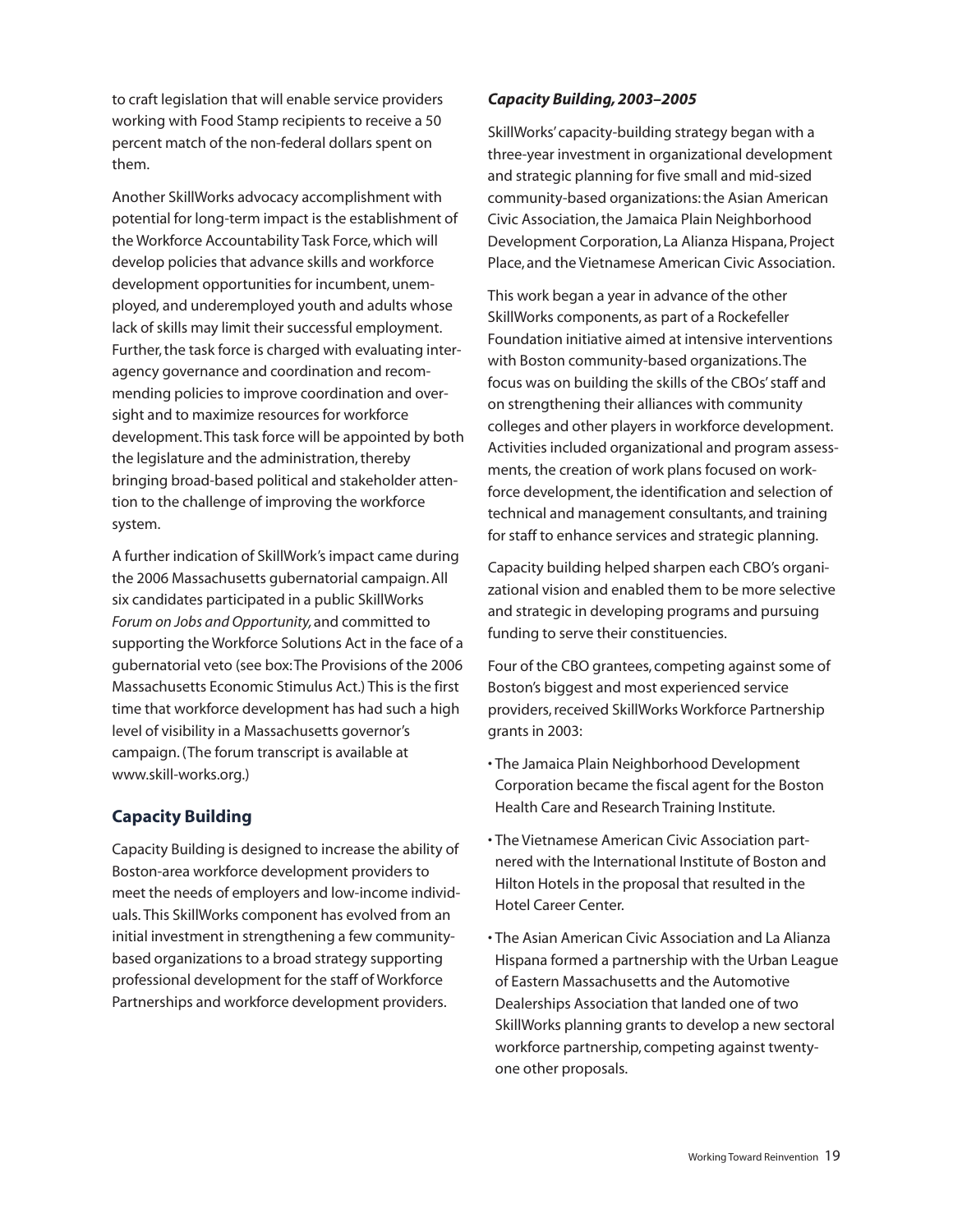to craft legislation that will enable service providers working with Food Stamp recipients to receive a 50 percent match of the non-federal dollars spent on them.

Another SkillWorks advocacy accomplishment with potential for long-term impact is the establishment of the Workforce Accountability Task Force,which will develop policies that advance skills and workforce development opportunities for incumbent, unemployed, and underemployed youth and adults whose lack of skills may limit their successful employment. Further, the task force is charged with evaluating interagency governance and coordination and recommending policies to improve coordination and oversight and to maximize resources for workforce development.This task force will be appointed by both the legislature and the administration, thereby bringing broad-based political and stakeholder attention to the challenge of improving the workforce system.

A further indication of SkillWork's impact came during the 2006 Massachusetts gubernatorial campaign.All six candidates participated in a public SkillWorks *Forum on Jobs and Opportunity,*and committed to supporting the Workforce Solutions Act in the face of a gubernatorial veto (see box:The Provisions of the 2006 Massachusetts Economic Stimulus Act.) This is the first time that workforce development has had such a high level of visibility in a Massachusetts governor's campaign.(The forum transcript is available at www.skill-works.org.)

### **Capacity Building**

Capacity Building is designed to increase the ability of Boston-area workforce development providers to meet the needs of employers and low-income individuals. This SkillWorks component has evolved from an initial investment in strengthening a few communitybased organizations to a broad strategy supporting professional development for the staff of Workforce Partnerships and workforce development providers.

### *Capacity Building, 2003–2005*

SkillWorks' capacity-building strategy began with a three-year investment in organizational development and strategic planning for five small and mid-sized community-based organizations:the Asian American Civic Association, the Jamaica Plain Neighborhood Development Corporation, La Alianza Hispana, Project Place, and the Vietnamese American Civic Association.

This work began a year in advance of the other SkillWorks components, as part of a Rockefeller Foundation initiative aimed at intensive interventions with Boston community-based organizations.The focus was on building the skills of the CBOs'staff and on strengthening their alliances with community colleges and other players in workforce development. Activities included organizational and program assessments, the creation of work plans focused on workforce development, the identification and selection of technical and management consultants, and training for staff to enhance services and strategic planning.

Capacity building helped sharpen each CBO's organizational vision and enabled them to be more selective and strategic in developing programs and pursuing funding to serve their constituencies.

Four of the CBO grantees, competing against some of Boston's biggest and most experienced service providers,received SkillWorks Workforce Partnership grants in 2003:

- The Jamaica Plain Neighborhood Development Corporation became the fiscal agent for the Boston Health Care and Research Training Institute.
- The Vietnamese American Civic Association partnered with the International Institute of Boston and Hilton Hotels in the proposal that resulted in the Hotel Career Center.
- The Asian American Civic Association and La Alianza Hispana formed a partnership with the Urban League of Eastern Massachusetts and the Automotive Dealerships Association that landed one of two SkillWorks planning grants to develop a new sectoral workforce partnership, competing against twentyone other proposals.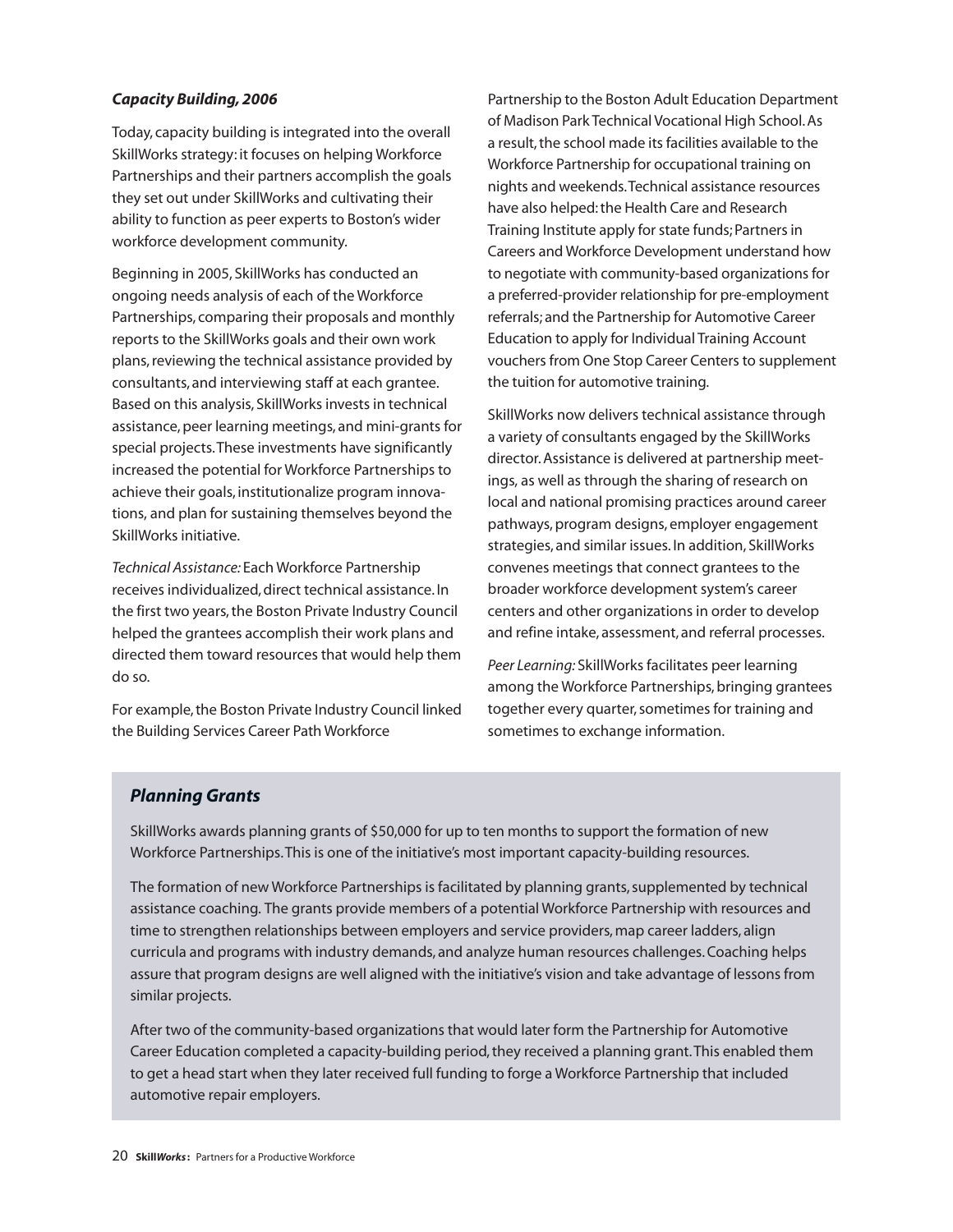### *Capacity Building, 2006*

Today, capacity building is integrated into the overall SkillWorks strategy: it focuses on helping Workforce Partnerships and their partners accomplish the goals they set out under SkillWorks and cultivating their ability to function as peer experts to Boston's wider workforce development community.

Beginning in 2005, SkillWorks has conducted an ongoing needs analysis of each of the Workforce Partnerships, comparing their proposals and monthly reports to the SkillWorks goals and their own work plans,reviewing the technical assistance provided by consultants, and interviewing staff at each grantee. Based on this analysis, SkillWorks invests in technical assistance,peer learning meetings, and mini-grants for special projects.These investments have significantly increased the potential for Workforce Partnerships to achieve their goals, institutionalize program innovations, and plan for sustaining themselves beyond the SkillWorks initiative.

*Technical Assistance:* Each Workforce Partnership receives individualized, direct technical assistance. In the first two years, the Boston Private Industry Council helped the grantees accomplish their work plans and directed them toward resources that would help them do so.

For example, the Boston Private Industry Council linked the Building Services Career Path Workforce

Partnership to the Boston Adult Education Department of Madison Park Technical Vocational High School.As a result, the school made its facilities available to the Workforce Partnership for occupational training on nights and weekends.Technical assistance resources have also helped:the Health Care and Research Training Institute apply for state funds; Partners in Careers and Workforce Development understand how to negotiate with community-based organizations for a preferred-provider relationship for pre-employment referrals; and the Partnership for Automotive Career Education to apply for Individual Training Account vouchers from One Stop Career Centers to supplement the tuition for automotive training.

SkillWorks now delivers technical assistance through a variety of consultants engaged by the SkillWorks director.Assistance is delivered at partnership meetings, as well as through the sharing of research on local and national promising practices around career pathways,program designs, employer engagement strategies, and similar issues. In addition, SkillWorks convenes meetings that connect grantees to the broader workforce development system's career centers and other organizations in order to develop and refine intake, assessment, and referral processes.

*Peer Learning:* SkillWorks facilitates peer learning among the Workforce Partnerships, bringing grantees together every quarter, sometimes for training and sometimes to exchange information.

### *Planning Grants*

SkillWorks awards planning grants of \$50,000 for up to ten months to support the formation of new Workforce Partnerships.This is one of the initiative's most important capacity-building resources.

The formation of new Workforce Partnerships is facilitated by planning grants,supplemented by technical assistance coaching. The grants provide members of a potential Workforce Partnership with resources and time to strengthen relationships between employers and service providers, map career ladders, align curricula and programs with industry demands, and analyze human resources challenges.Coaching helps assure that program designs are well aligned with the initiative's vision and take advantage of lessons from similar projects.

After two of the community-based organizations that would later form the Partnership for Automotive Career Education completed a capacity-building period, they received a planning grant. This enabled them to get a head start when they later received full funding to forge a Workforce Partnership that included automotive repair employers.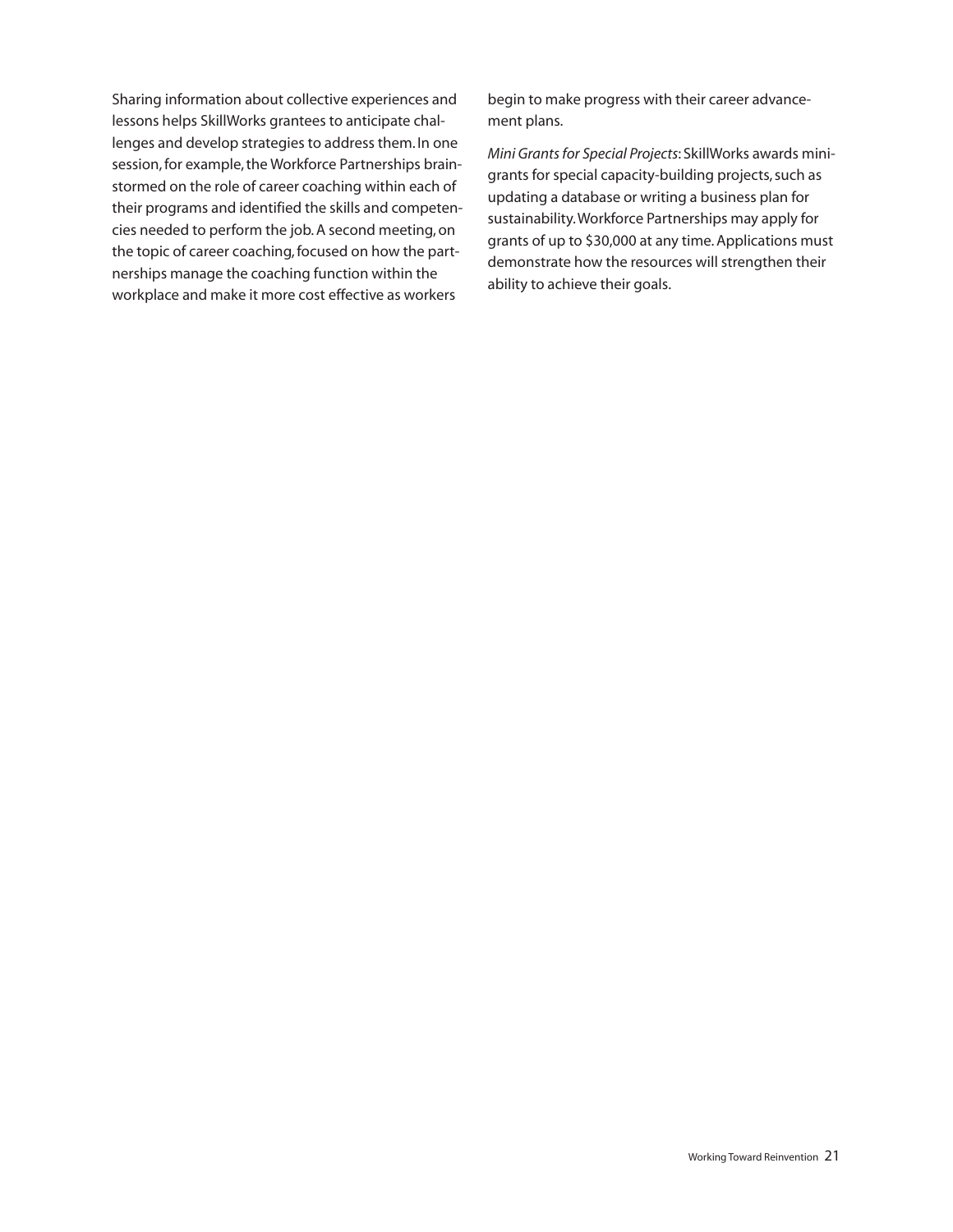Sharing information about collective experiences and lessons helps SkillWorks grantees to anticipate challenges and develop strategies to address them. In one session, for example, the Workforce Partnerships brainstormed on the role of career coaching within each of their programs and identified the skills and competencies needed to perform the job.A second meeting,on the topic of career coaching, focused on how the partnerships manage the coaching function within the workplace and make it more cost effective as workers

begin to make progress with their career advancement plans.

*Mini Grantsfor Special Projects*: SkillWorks awards minigrants for special capacity-building projects, such as updating a database or writing a business plan for sustainability.Workforce Partnerships may apply for grants of up to \$30,000 at any time.Applications must demonstrate how the resources will strengthen their ability to achieve their goals.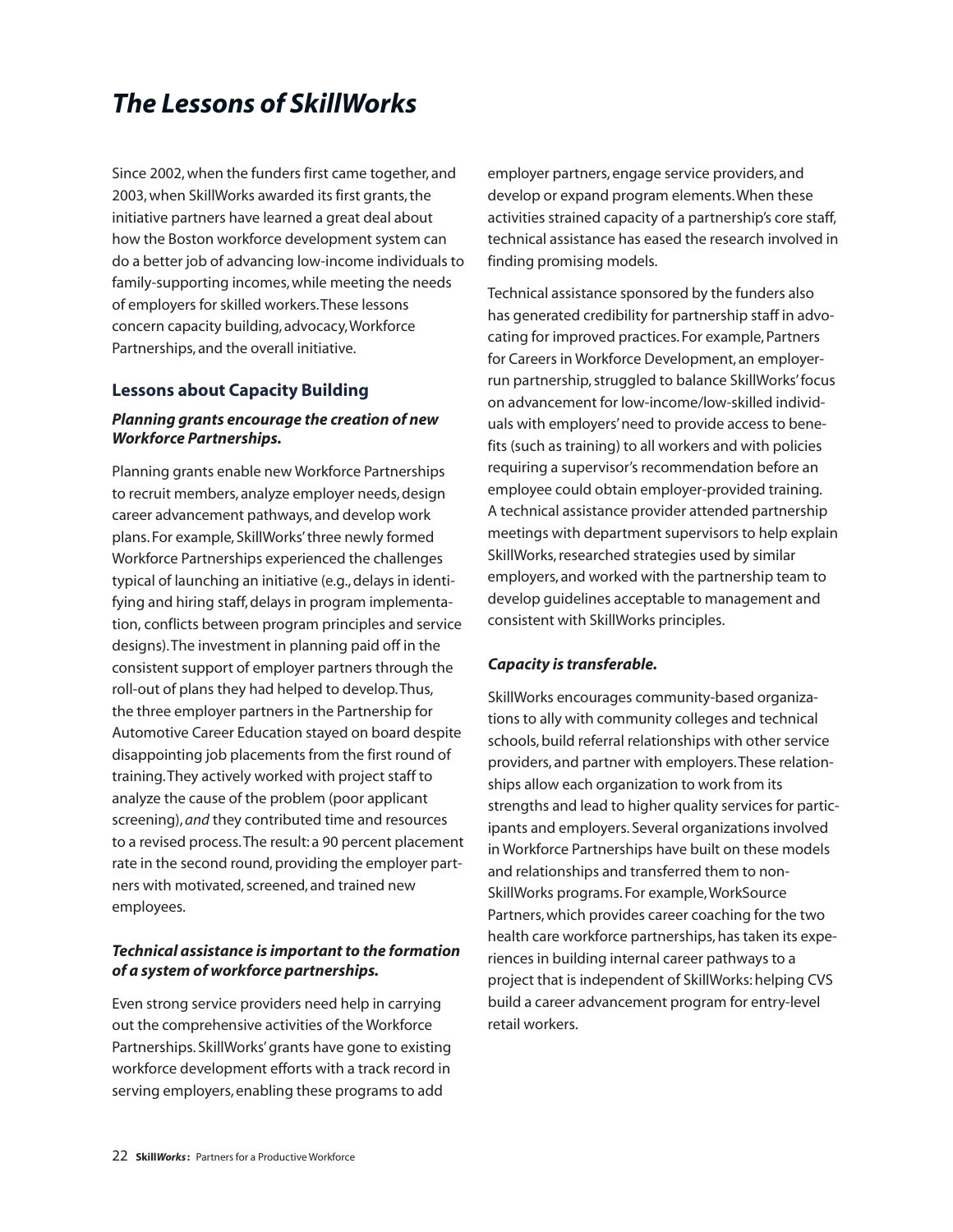# *The Lessons of SkillWorks*

Since 2002,when the funders first came together, and 2003, when SkillWorks awarded its first grants, the initiative partners have learned a great deal about how the Boston workforce development system can do a better job of advancing low-income individuals to family-supporting incomes,while meeting the needs of employers for skilled workers.These lessons concern capacity building, advocacy,Workforce Partnerships, and the overall initiative.

### **Lessons about Capacity Building**

### *Planning grants encourage the creation of new Workforce Partnerships.*

Planning grants enable new Workforce Partnerships to recruit members, analyze employer needs,design career advancement pathways, and develop work plans. For example, SkillWorks'three newly formed Workforce Partnerships experienced the challenges typical of launching an initiative (e.g., delays in identifying and hiring staff, delays in program implementation, conflicts between program principles and service designs).The investment in planning paid off in the consistent support of employer partners through the roll-out of plans they had helped to develop.Thus, the three employer partners in the Partnership for Automotive Career Education stayed on board despite disappointing job placements from the first round of training.They actively worked with project staff to analyze the cause of the problem (poor applicant screening), *and* they contributed time and resources to a revised process.The result: a 90 percent placement rate in the second round, providing the employer partners with motivated, screened, and trained new employees.

### *Technical assistance is important to the formation of a system of workforce partnerships.*

Even strong service providers need help in carrying out the comprehensive activities of the Workforce Partnerships. SkillWorks'grants have gone to existing workforce development efforts with a track record in serving employers, enabling these programs to add

employer partners, engage service providers, and develop or expand program elements.When these activities strained capacity of a partnership's core staff, technical assistance has eased the research involved in finding promising models.

Technical assistance sponsored by the funders also has generated credibility for partnership staff in advocating for improved practices. For example,Partners for Careers in Workforce Development, an employerrun partnership, struggled to balance SkillWorks' focus on advancement for low-income/low-skilled individuals with employers'need to provide access to benefits (such as training) to all workers and with policies requiring a supervisor's recommendation before an employee could obtain employer-provided training. A technical assistance provider attended partnership meetings with department supervisors to help explain SkillWorks, researched strategies used by similar employers, and worked with the partnership team to develop guidelines acceptable to management and consistent with SkillWorks principles.

### *Capacity is transferable.*

SkillWorks encourages community-based organizations to ally with community colleges and technical schools, build referral relationships with other service providers, and partner with employers.These relationships allow each organization to work from its strengths and lead to higher quality services for participants and employers. Several organizations involved in Workforce Partnerships have built on these models and relationships and transferred them to non-SkillWorks programs. For example,WorkSource Partners,which provides career coaching for the two health care workforce partnerships, has taken its experiences in building internal career pathways to a project that is independent of SkillWorks:helping CVS build a career advancement program for entry-level retail workers.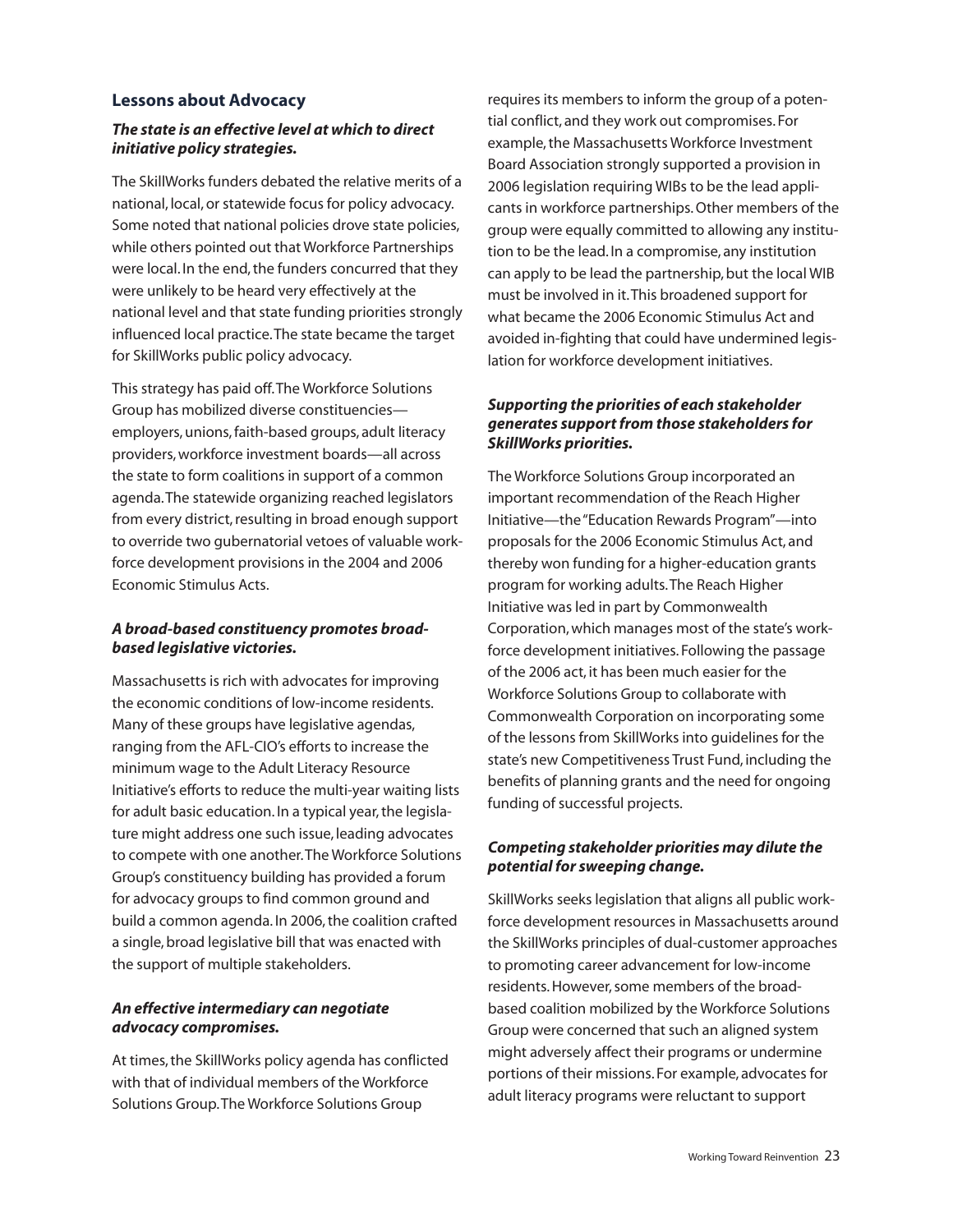### **Lessons about Advocacy**

### *The state is an effective level at which to direct initiative policy strategies.*

The SkillWorks funders debated the relative merits of a national, local,or statewide focus for policy advocacy. Some noted that national policies drove state policies, while others pointed out that Workforce Partnerships were local. In the end, the funders concurred that they were unlikely to be heard very effectively at the national level and that state funding priorities strongly influenced local practice.The state became the target for SkillWorks public policy advocacy.

This strategy has paid off.The Workforce Solutions Group has mobilized diverse constituencies employers,unions,faith-based groups, adult literacy providers,workforce investment boards—all across the state to form coalitions in support of a common agenda.The statewide organizing reached legislators from every district, resulting in broad enough support to override two gubernatorial vetoes of valuable workforce development provisions in the 2004 and 2006 Economic Stimulus Acts.

### *A broad-based constituency promotes broadbased legislative victories.*

Massachusetts is rich with advocates for improving the economic conditions of low-income residents. Many of these groups have legislative agendas, ranging from the AFL-CIO's efforts to increase the minimum wage to the Adult Literacy Resource Initiative's efforts to reduce the multi-year waiting lists for adult basic education. In a typical year, the legislature might address one such issue, leading advocates to compete with one another.The Workforce Solutions Group's constituency building has provided a forum for advocacy groups to find common ground and build a common agenda. In 2006, the coalition crafted a single, broad legislative bill that was enacted with the support of multiple stakeholders.

### *An effective intermediary can negotiate advocacy compromises.*

At times, the SkillWorks policy agenda has conflicted with that of individual members of the Workforce Solutions Group.The Workforce Solutions Group

requires its members to inform the group of a potential conflict, and they work out compromises. For example,the Massachusetts Workforce Investment Board Association strongly supported a provision in 2006 legislation requiring WIBs to be the lead applicants in workforce partnerships.Other members of the group were equally committed to allowing any institution to be the lead. In a compromise, any institution can apply to be lead the partnership, but the local WIB must be involved in it.This broadened support for what became the 2006 Economic Stimulus Act and avoided in-fighting that could have undermined legislation for workforce development initiatives.

### *Supporting the priorities of each stakeholder generates support from those stakeholders for SkillWorks priorities.*

The Workforce Solutions Group incorporated an important recommendation of the Reach Higher Initiative—the"Education Rewards Program"—into proposals for the 2006 Economic Stimulus Act, and thereby won funding for a higher-education grants program for working adults.The Reach Higher Initiative was led in part by Commonwealth Corporation,which manages most of the state's workforce development initiatives. Following the passage of the 2006 act, it has been much easier for the Workforce Solutions Group to collaborate with Commonwealth Corporation on incorporating some of the lessons from SkillWorks into guidelines for the state's new Competitiveness Trust Fund, including the benefits of planning grants and the need for ongoing funding of successful projects.

### *Competing stakeholder priorities may dilute the potential for sweeping change.*

SkillWorks seeks legislation that aligns all public workforce development resources in Massachusetts around the SkillWorks principles of dual-customer approaches to promoting career advancement for low-income residents.However,some members of the broadbased coalition mobilized by the Workforce Solutions Group were concerned that such an aligned system might adversely affect their programs or undermine portions of their missions. For example, advocates for adult literacy programs were reluctant to support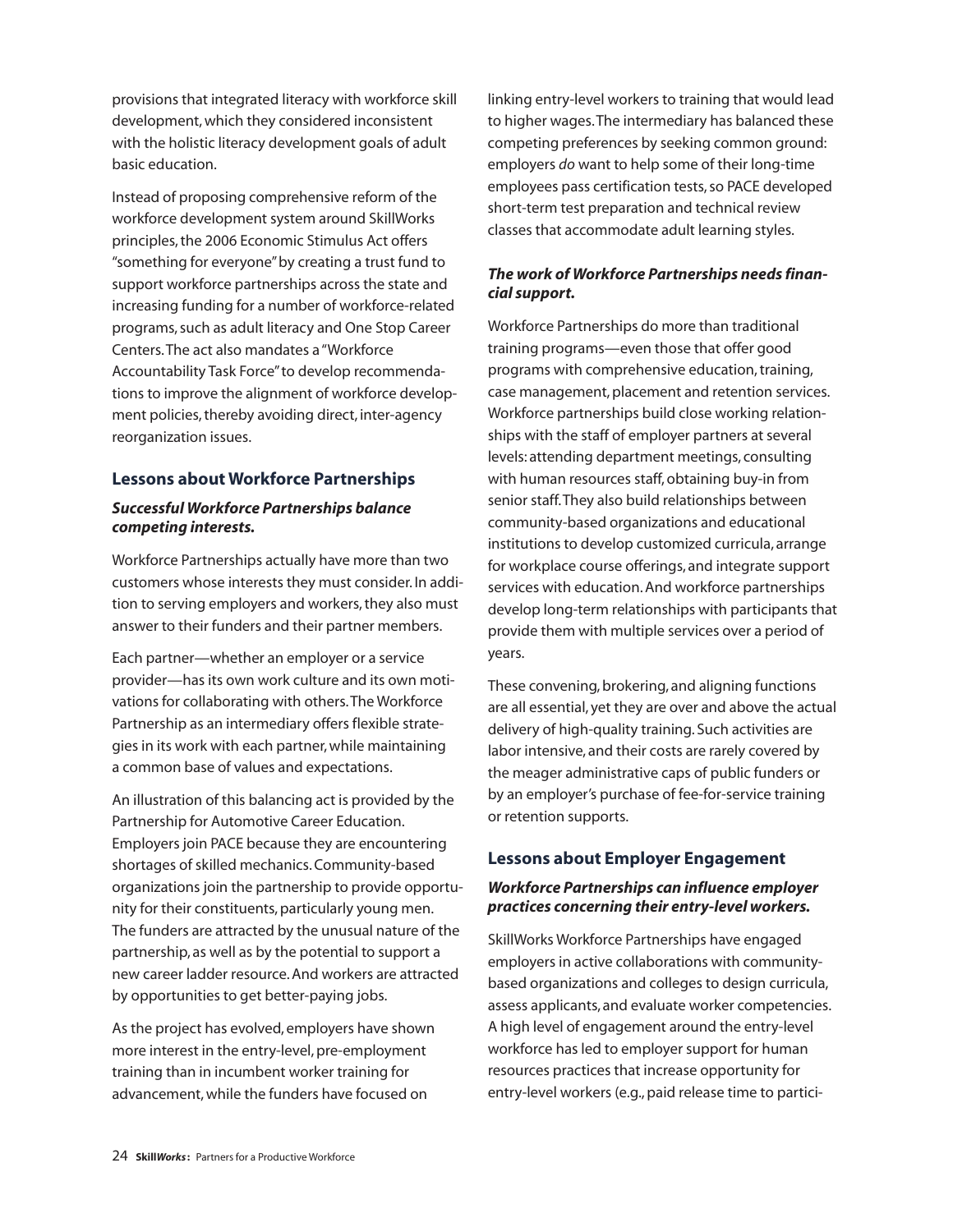provisions that integrated literacy with workforce skill development,which they considered inconsistent with the holistic literacy development goals of adult basic education.

Instead of proposing comprehensive reform of the workforce development system around SkillWorks principles, the 2006 Economic Stimulus Act offers "something for everyone"by creating a trust fund to support workforce partnerships across the state and increasing funding for a number of workforce-related programs,such as adult literacy and One Stop Career Centers.The act also mandates a"Workforce Accountability Task Force"to develop recommendations to improve the alignment of workforce development policies, thereby avoiding direct, inter-agency reorganization issues.

### **Lessons about Workforce Partnerships**

### *Successful Workforce Partnerships balance competing interests.*

Workforce Partnerships actually have more than two customers whose interests they must consider. In addition to serving employers and workers, they also must answer to their funders and their partner members.

Each partner—whether an employer or a service provider—has its own work culture and its own motivations for collaborating with others.The Workforce Partnership as an intermediary offers flexible strategies in its work with each partner,while maintaining a common base of values and expectations.

An illustration of this balancing act is provided by the Partnership for Automotive Career Education. Employers join PACE because they are encountering shortages of skilled mechanics.Community-based organizations join the partnership to provide opportunity for their constituents,particularly young men. The funders are attracted by the unusual nature of the partnership, as well as by the potential to support a new career ladder resource.And workers are attracted by opportunities to get better-paying jobs.

As the project has evolved, employers have shown more interest in the entry-level, pre-employment training than in incumbent worker training for advancement,while the funders have focused on

linking entry-level workers to training that would lead to higher wages.The intermediary has balanced these competing preferences by seeking common ground: employers *do* want to help some of their long-time employees pass certification tests, so PACE developed short-term test preparation and technical review classes that accommodate adult learning styles.

### *The work of Workforce Partnerships needs financial support.*

Workforce Partnerships do more than traditional training programs—even those that offer good programs with comprehensive education,training, case management, placement and retention services. Workforce partnerships build close working relationships with the staff of employer partners at several levels: attending department meetings, consulting with human resources staff, obtaining buy-in from senior staff.They also build relationships between community-based organizations and educational institutions to develop customized curricula, arrange for workplace course offerings, and integrate support services with education.And workforce partnerships develop long-term relationships with participants that provide them with multiple services over a period of years.

These convening, brokering, and aligning functions are all essential, yet they are over and above the actual delivery of high-quality training. Such activities are labor intensive, and their costs are rarely covered by the meager administrative caps of public funders or by an employer's purchase of fee-for-service training or retention supports.

### **Lessons about Employer Engagement**

### *Workforce Partnerships can influence employer practices concerning their entry-level workers.*

SkillWorks Workforce Partnerships have engaged employers in active collaborations with communitybased organizations and colleges to design curricula, assess applicants, and evaluate worker competencies. A high level of engagement around the entry-level workforce has led to employer support for human resources practices that increase opportunity for entry-level workers (e.g.,paid release time to partici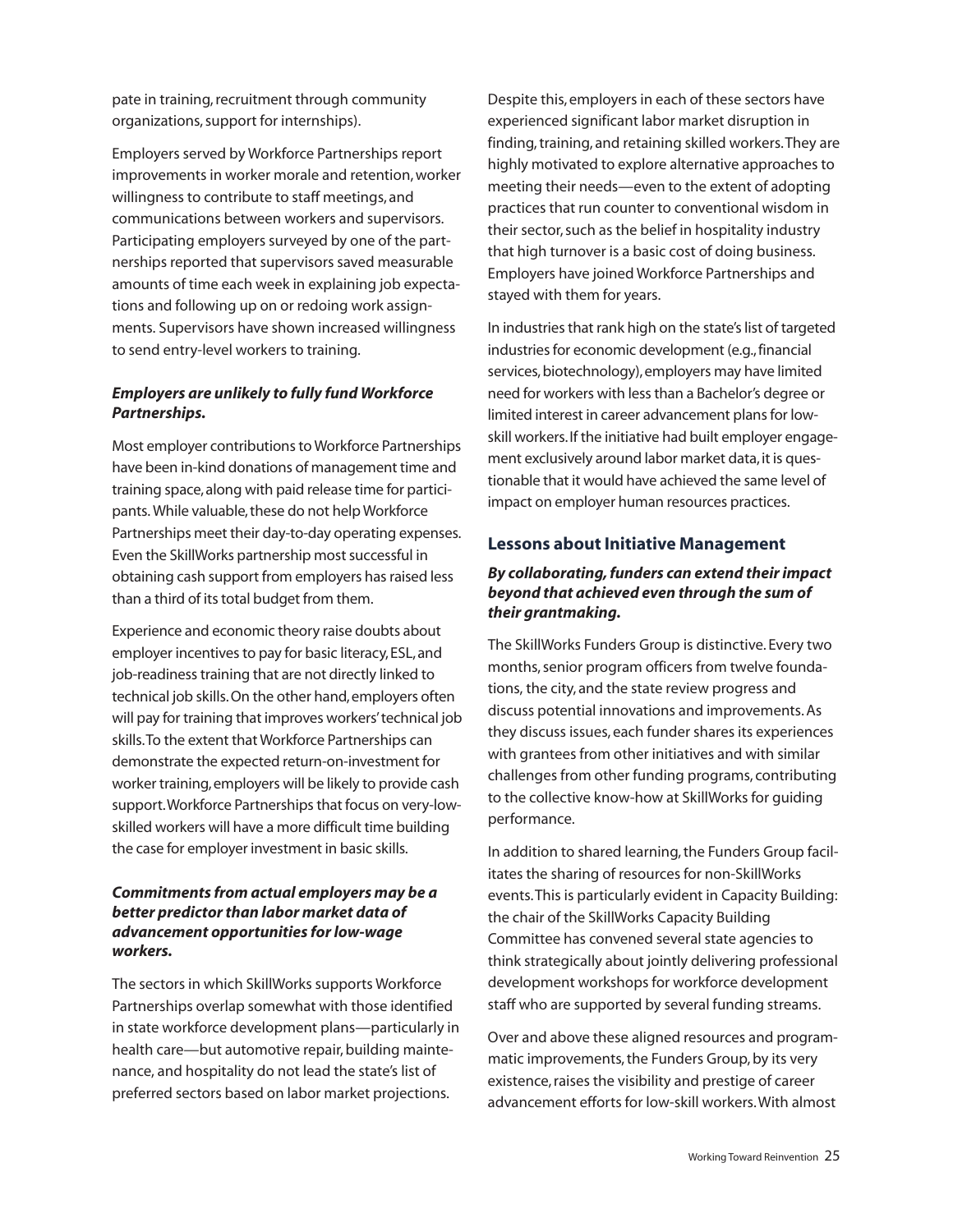pate in training, recruitment through community organizations,support for internships).

Employers served by Workforce Partnerships report improvements in worker morale and retention, worker willingness to contribute to staff meetings, and communications between workers and supervisors. Participating employers surveyed by one of the partnerships reported that supervisors saved measurable amounts of time each week in explaining job expectations and following up on or redoing work assignments. Supervisors have shown increased willingness to send entry-level workers to training.

### *Employers are unlikely to fully fund Workforce Partnerships.*

Most employer contributions to Workforce Partnerships have been in-kind donations of management time and training space, along with paid release time for participants. While valuable, these do not help Workforce Partnerships meet their day-to-day operating expenses. Even the SkillWorks partnership most successful in obtaining cash support from employers has raised less than a third of its total budget from them.

Experience and economic theory raise doubts about employer incentives to pay for basic literacy, ESL, and job-readiness training that are not directly linked to technical job skills.On the other hand,employers often will pay for training that improves workers'technical job skills.To the extent that Workforce Partnerships can demonstrate the expected return-on-investment for worker training,employers will be likely to provide cash support. Workforce Partnerships that focus on very-lowskilled workers will have a more difficult time building the case for employer investment in basic skills.

### *Commitments from actual employers may be a better predictorthan labor market data of advancement opportunities forlow-wage workers.*

The sectors in which SkillWorks supports Workforce Partnerships overlap somewhat with those identified in state workforce development plans—particularly in health care—but automotive repair, building maintenance, and hospitality do not lead the state's list of preferred sectors based on labor market projections.

Despite this, employers in each of these sectors have experienced significant labor market disruption in finding, training, and retaining skilled workers. They are highly motivated to explore alternative approaches to meeting their needs—even to the extent of adopting practices that run counter to conventional wisdom in their sector, such as the belief in hospitality industry that high turnover is a basic cost of doing business. Employers have joined Workforce Partnerships and stayed with them for years.

In industries that rank high on the state's list of targeted industries for economic development (e.g., financial services, biotechnology), employers may have limited need for workers with lessthan a Bachelor's degree or limited interest in career advancement plans for lowskill workers.If the initiative had built employer engagement exclusively around labor market data, it is questionable that it would have achieved the same level of impact on employer human resources practices.

### **Lessons about Initiative Management**

### *By collaborating,funders can extend theirimpact beyond that achieved even through the sum of their grantmaking.*

The SkillWorks Funders Group is distinctive. Every two months, senior program officers from twelve foundations, the city, and the state review progress and discuss potential innovations and improvements.As they discuss issues, each funder shares its experiences with grantees from other initiatives and with similar challenges from other funding programs, contributing to the collective know-how at SkillWorks for guiding performance.

In addition to shared learning, the Funders Group facilitates the sharing of resources for non-SkillWorks events.This is particularly evident in Capacity Building: the chair of the SkillWorks Capacity Building Committee has convened several state agencies to think strategically about jointly delivering professional development workshops for workforce development staff who are supported by several funding streams.

Over and above these aligned resources and programmatic improvements, the Funders Group, by its very existence, raises the visibility and prestige of career advancement efforts for low-skill workers.With almost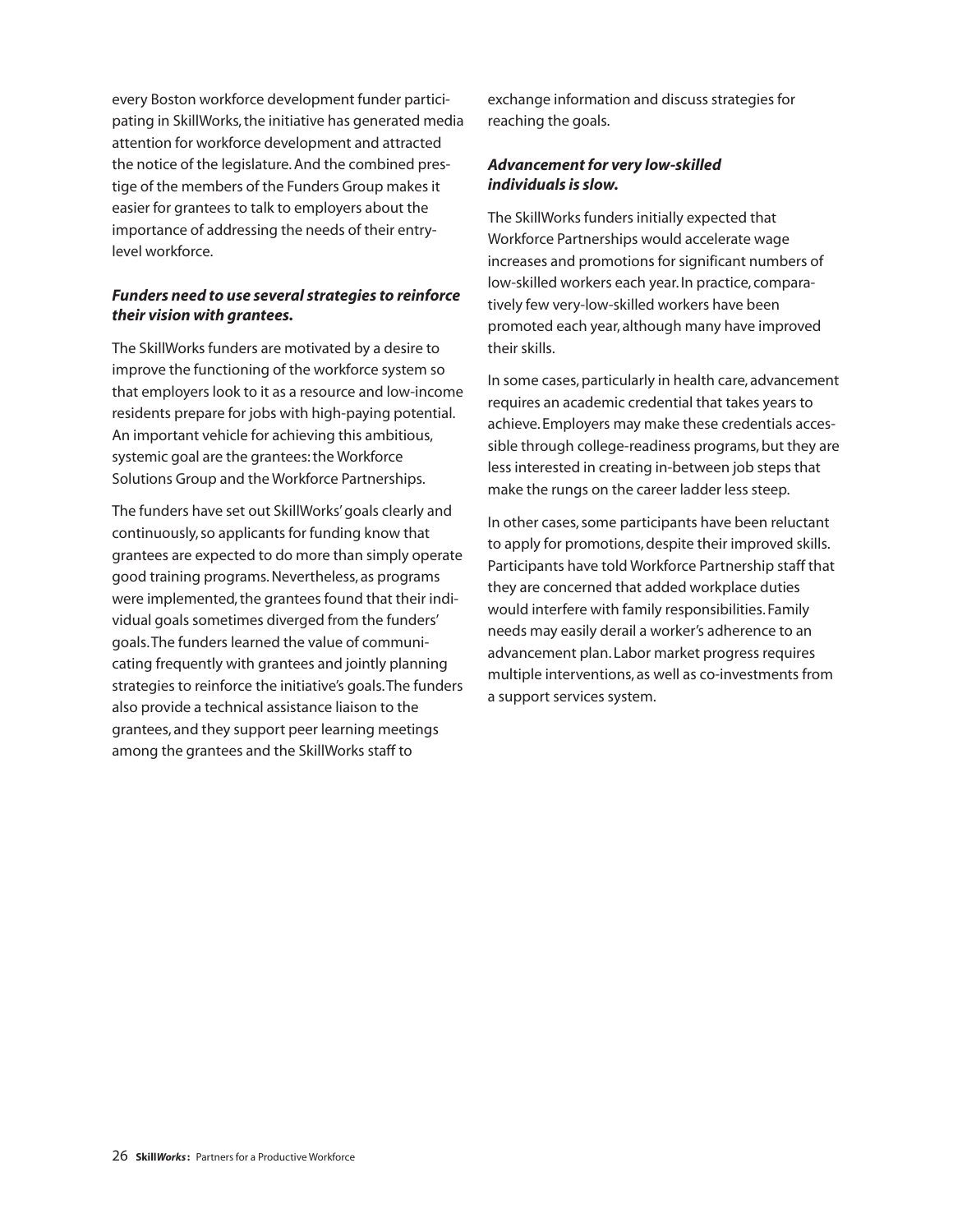every Boston workforce development funder participating in SkillWorks, the initiative has generated media attention for workforce development and attracted the notice of the legislature.And the combined prestige of the members of the Funders Group makes it easier for grantees to talk to employers about the importance of addressing the needs of their entrylevel workforce.

### *Funders need to use several strategies to reinforce their vision with grantees.*

The SkillWorks funders are motivated by a desire to improve the functioning of the workforce system so that employers look to it as a resource and low-income residents prepare for jobs with high-paying potential. An important vehicle for achieving this ambitious, systemic goal are the grantees: the Workforce Solutions Group and the Workforce Partnerships.

The funders have set out SkillWorks'goals clearly and continuously,so applicants for funding know that grantees are expected to do more than simply operate good training programs.Nevertheless, as programs were implemented, the grantees found that their individual goals sometimes diverged from the funders' goals.The funders learned the value of communicating frequently with grantees and jointly planning strategies to reinforce the initiative's goals.The funders also provide a technical assistance liaison to the grantees, and they support peer learning meetings among the grantees and the SkillWorks staff to

exchange information and discuss strategies for reaching the goals.

### *Advancement for very low-skilled individuals is slow.*

The SkillWorks funders initially expected that Workforce Partnerships would accelerate wage increases and promotions for significant numbers of low-skilled workers each year. In practice, comparatively few very-low-skilled workers have been promoted each year, although many have improved their skills.

In some cases, particularly in health care, advancement requires an academic credential that takes years to achieve. Employers may make these credentials accessible through college-readiness programs, but they are less interested in creating in-between job steps that make the rungs on the career ladder less steep.

In other cases, some participants have been reluctant to apply for promotions, despite their improved skills. Participants have told Workforce Partnership staff that they are concerned that added workplace duties would interfere with family responsibilities. Family needs may easily derail a worker's adherence to an advancement plan. Labor market progress requires multiple interventions, as well as co-investments from a support services system.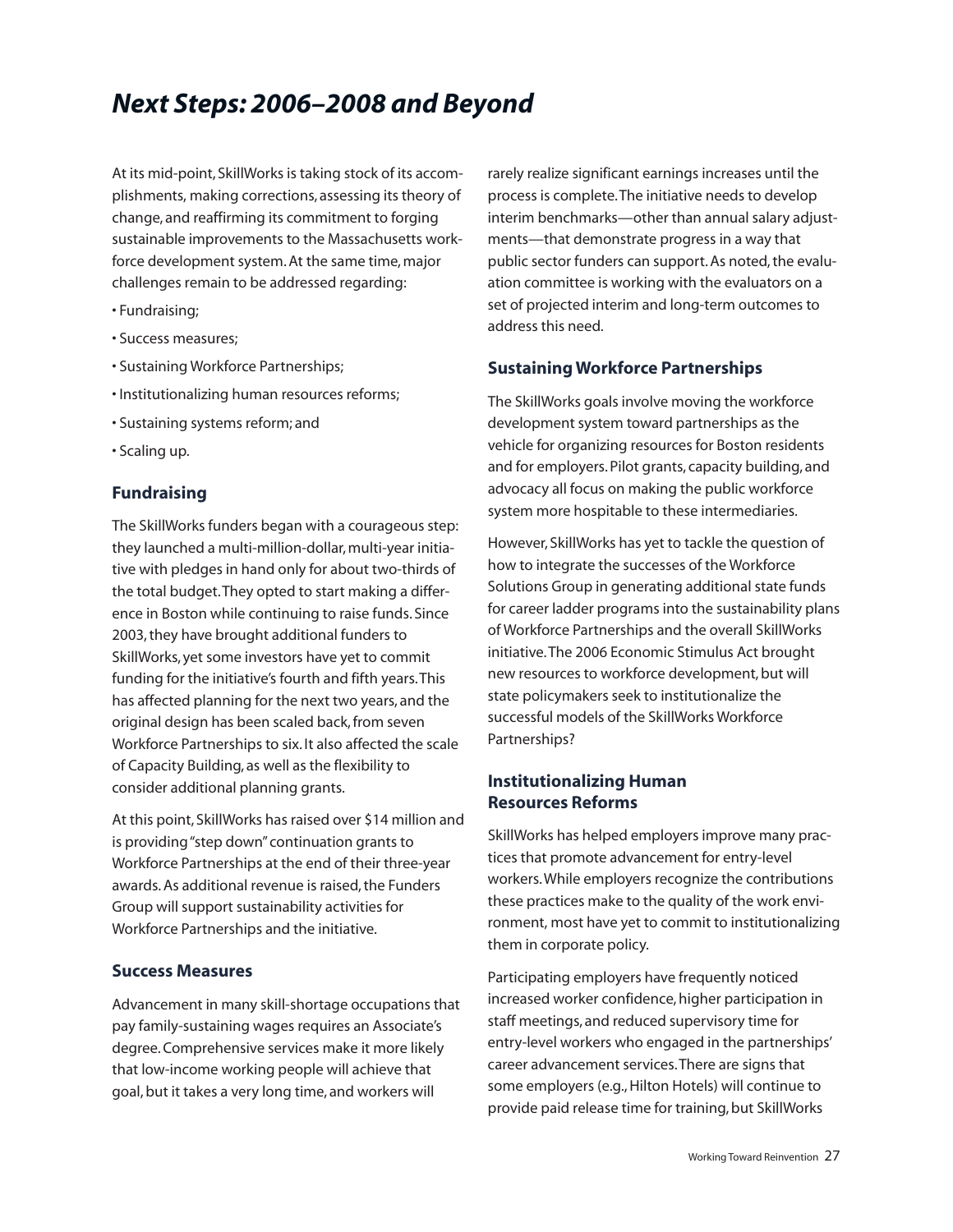# *Next Steps: 2006–2008 and Beyond*

At its mid-point, SkillWorks is taking stock of its accomplishments, making corrections, assessing its theory of change, and reaffirming its commitment to forging sustainable improvements to the Massachusetts workforce development system. At the same time, major challenges remain to be addressed regarding:

- Fundraising;
- Success measures;
- Sustaining Workforce Partnerships;
- Institutionalizing human resources reforms;
- Sustaining systems reform; and
- Scaling up.

### **Fundraising**

The SkillWorks funders began with a courageous step: they launched a multi-million-dollar, multi-year initiative with pledges in hand only for about two-thirds of the total budget.They opted to start making a difference in Boston while continuing to raise funds. Since 2003,they have brought additional funders to SkillWorks, yet some investors have yet to commit funding for the initiative's fourth and fifth years.This has affected planning for the next two years, and the original design has been scaled back,from seven Workforce Partnerships to six. It also affected the scale of Capacity Building, as well as the flexibility to consider additional planning grants.

At this point, SkillWorks has raised over \$14 million and is providing"step down"continuation grants to Workforce Partnerships at the end of their three-year awards.As additional revenue is raised,the Funders Group will support sustainability activities for Workforce Partnerships and the initiative.

### **Success Measures**

Advancement in many skill-shortage occupations that pay family-sustaining wages requires an Associate's degree.Comprehensive services make it more likely that low-income working people will achieve that goal,but it takes a very long time, and workers will

rarely realize significant earnings increases until the process is complete.The initiative needs to develop interim benchmarks—other than annual salary adjustments—that demonstrate progress in a way that public sector funders can support. As noted, the evaluation committee is working with the evaluators on a set of projected interim and long-term outcomes to address this need.

### **Sustaining Workforce Partnerships**

The SkillWorks goals involve moving the workforce development system toward partnerships as the vehicle for organizing resources for Boston residents and for employers.Pilot grants, capacity building, and advocacy all focus on making the public workforce system more hospitable to these intermediaries.

However, SkillWorks has yet to tackle the question of how to integrate the successes of the Workforce Solutions Group in generating additional state funds for career ladder programs into the sustainability plans of Workforce Partnerships and the overall SkillWorks initiative.The 2006 Economic Stimulus Act brought new resources to workforce development, but will state policymakers seek to institutionalize the successful models of the SkillWorks Workforce Partnerships?

### **Institutionalizing Human Resources Reforms**

SkillWorks has helped employers improve many practices that promote advancement for entry-level workers.While employers recognize the contributions these practices make to the quality of the work environment, most have yet to commit to institutionalizing them in corporate policy.

Participating employers have frequently noticed increased worker confidence, higher participation in staff meetings, and reduced supervisory time for entry-level workers who engaged in the partnerships' career advancement services.There are signs that some employers (e.g., Hilton Hotels) will continue to provide paid release time for training, but SkillWorks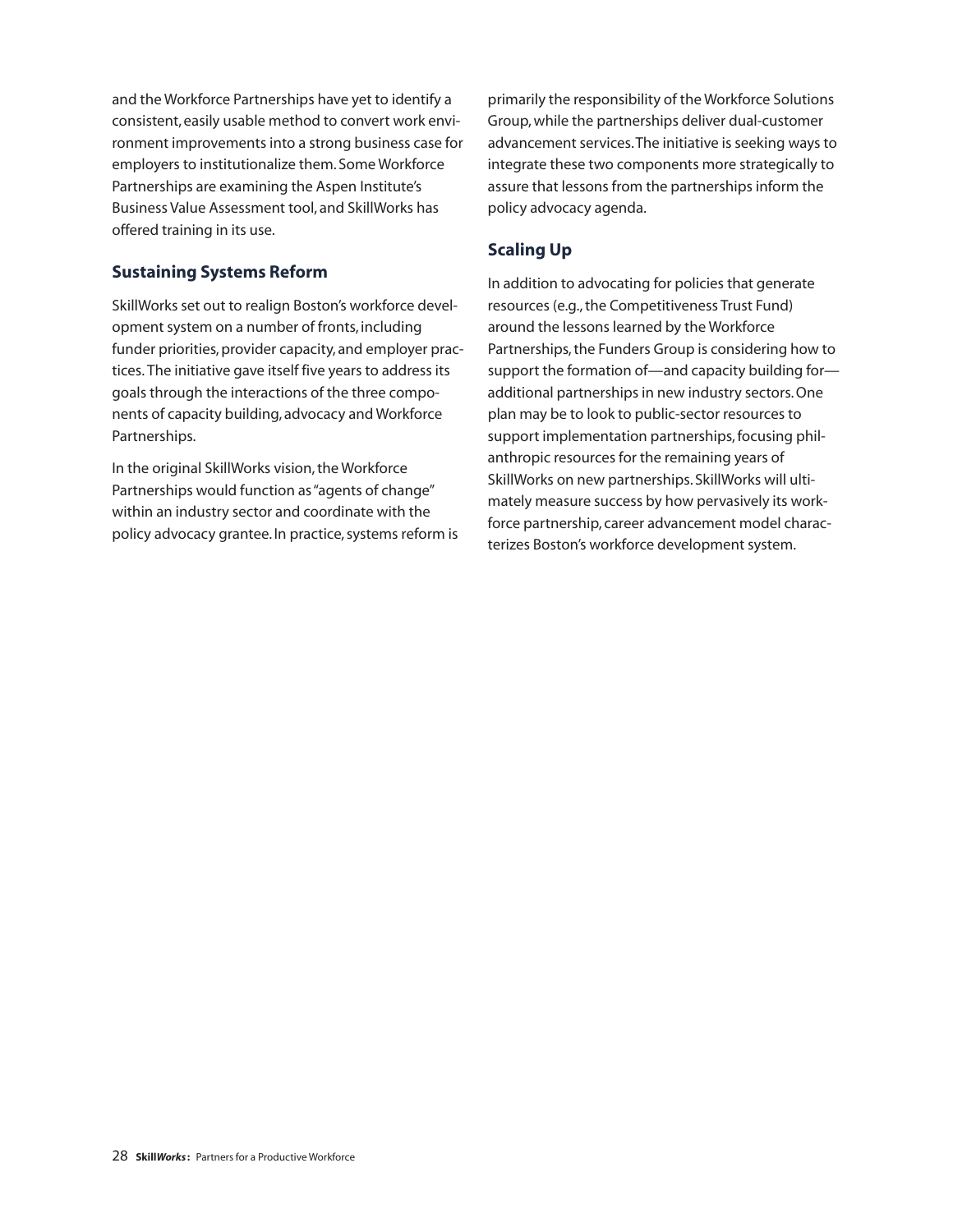and the Workforce Partnerships have yet to identify a consistent, easily usable method to convert work environment improvements into a strong business case for employers to institutionalize them. Some Workforce Partnerships are examining the Aspen Institute's Business Value Assessment tool, and SkillWorks has offered training in its use.

### **Sustaining Systems Reform**

SkillWorks set out to realign Boston's workforce development system on a number of fronts, including funder priorities, provider capacity, and employer practices. The initiative gave itself five years to address its goals through the interactions of the three components of capacity building, advocacy and Workforce Partnerships.

In the original SkillWorks vision, the Workforce Partnerships would function as"agents of change" within an industry sector and coordinate with the policy advocacy grantee. In practice, systems reform is primarily the responsibility of the Workforce Solutions Group,while the partnerships deliver dual-customer advancement services.The initiative is seeking ways to integrate these two components more strategically to assure that lessons from the partnerships inform the policy advocacy agenda.

### **Scaling Up**

In addition to advocating for policies that generate resources (e.g., the Competitiveness Trust Fund) around the lessons learned by the Workforce Partnerships, the Funders Group is considering how to support the formation of—and capacity building for additional partnerships in new industry sectors.One plan may be to look to public-sector resources to support implementation partnerships, focusing philanthropic resources for the remaining years of SkillWorks on new partnerships. SkillWorks will ultimately measure success by how pervasively its workforce partnership, career advancement model characterizes Boston's workforce development system.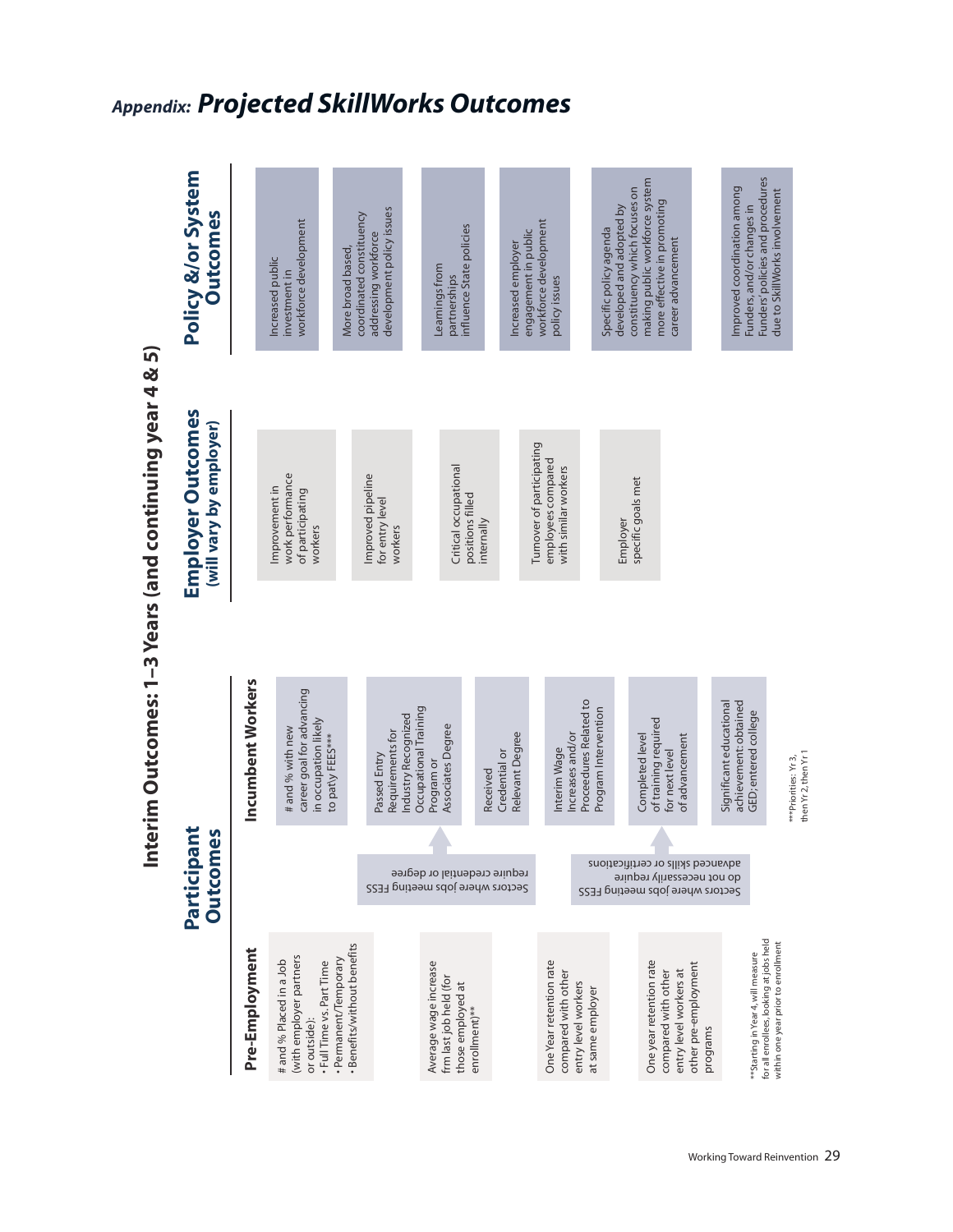| $\overline{a}$               |
|------------------------------|
|                              |
| Į                            |
| ĺ<br>۱                       |
| ١                            |
|                              |
|                              |
| らく てくら                       |
| $\frac{1}{2}$<br>V<br>D<br>ı |
| ֓<br>١                       |
| i<br>Sedan<br>1              |
| I                            |

### **Po y & o Sy em Ou ome** Funders' policies and procedures making public workforce system Improved coordination among constituency which focuses on due to SkillWorks involvement more effective in promoting Funders, and/or changes in developed and adopted by development policy issues coordinated constituency workforce development engagement in public<br>workforce development influence State policies Specific policy agenda addressing workforce career advancement Increased employer More broad based, Increased public Learnings from investment in partnerships policy issues **Employer Outcomes**<br>will vary by employer) Turnover of participating employees compared Critical occupational with similar workers work performance Improved pipeline<br>for entry level specific goals met Improvement in of participating positions filled<br>internally Employer workers workers Incumbent Workers career goal for advancing Proceedures Related to Significant educational achievement: obtained Occupational Training Program Intervention GED; entered college Industry Recognized in occupation likely of training required Associates Degree # and % with new **mployment** Incumbent W for next level<br>of advancement Requirements for Relevant Degree Completed level to patly FEES\*\*\* Credential or \*\*\*Priorities: Yr 3,<br>then Yr 2, then Yr 1 Passed Entry Program or Received W Participant **Outcomes Pa pan Ou ome** advauced skills or certifications<br>do not necessarily require<br>Sectors where jobs meeting FESS exerce where jobs meeting FESS for all enrollees, looking at jobs held within one year prior to enrollment Benefits/without benefits Pre-Employment \*\*Starting in Year 4, will measure with employer partners Permanent/Temporary # and % Placed in a Job Full Time vs. Part Time Average wage increase One Year retention rate One year retention rate other pre-employment compared with other compared with other entry level workers at frm last job held (for those employed at entry level workers at same employer enrollment)<sup>\*\*</sup> or outside): programs

# *Appendix: Projected SkillWorks Outcomes*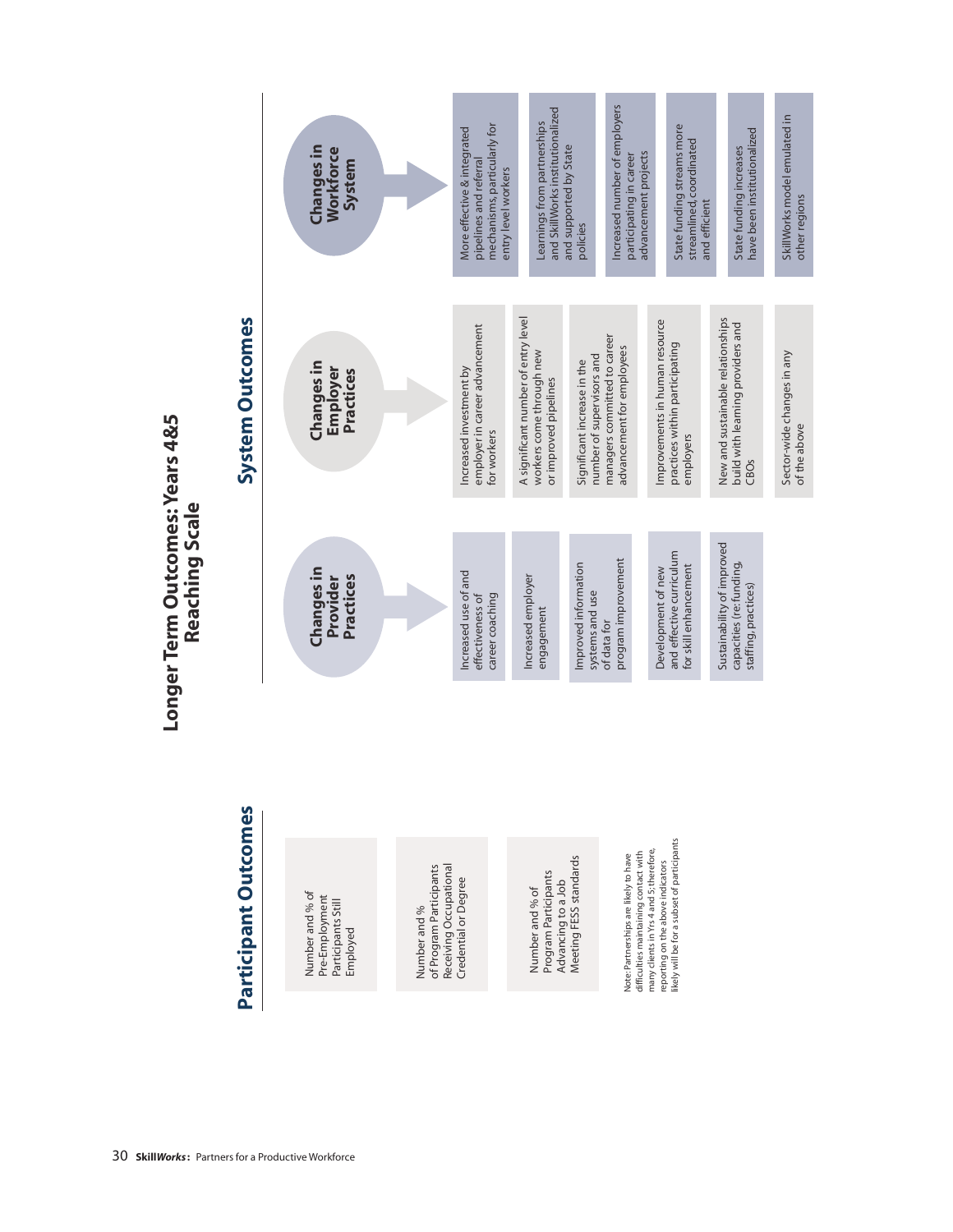1A

# Participant Outcomes

Number and % of Pre-Employment<br>Participants Still Employed

of Program Participants Receiving Occupational Credential or Degree Number and %

Meeting FESS standards Program Participants Advancing to a Job Number and % of

likely will be for a subset of participants many clients in Yrs 4 and 5; therefore, difficulties maintaining contact with Note: Partnerships are likely to have reporting on the above indicators